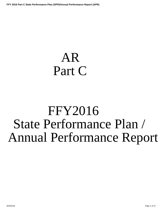# <span id="page-0-0"></span>AR Part C

# FFY2016 State Performance Plan / Annual Performance Report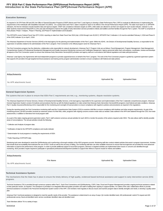## **Introduction to the State Performance Plan (SPP)/Annual Performance Report (APR) FFY 2016 Part C State Performance Plan (SPP)/Annual Performance Report (APR)**

#### **Executive Summary:**

As required in 34 CFR Parts 300 and 303, the Office of Special Education Programs (OSEP) directs each Part C Lead Agency to develop a State Performance Plan ( SPP) to evaluate its effectiveness in implementing the requirements of the Individuals with Disabilities Education Act (IDEA) . On a yearly basis each Part C state is required to report on its efforts in the Annual Performance Report (APR). The state must report on 11 SPP\APR indicators, the first ten indicators include baseline data and rigorous targets. OSEP sets compliance indicators targets at 100%, while states are allowed to set their own targets for each results indicator. Indicator 11, State Systemic Improvement Plan(SSIP) is a five year plan developed to improve the quality of early intervention services provided to infants and toddlers and their families through the Part C system. The SSIP is comprised three phases: Phase I- Analysis , Phase II- Planning, and Phase III- Implementation and Evaluation.

This SPP/APR covers Federal Fiscal Year (FFY) 2016, reporting on data from State Fiscal Year 2016 (July 1,2016 through June 30,2017). SPP/APR Part C Indicators 1-10 must be submitted February 2, 2018 and Phase III of the SSIP( Indicator 11) on April 2, 2018.

The Arkansas Department of Human Services (ADHS) is the lead agency for the planning and implementation of the Part C grant. Within the ADHS , the Division of Developmental Disability Services, is responsible for the supervision of activities related to the administration of the Part C program. First Connection is the official program name for Arkansas Part C.

The First Connections program has five distinctive, collaborative units responsible for network development. Arkansas Part C Program Units are as follows: Fiscal Management, Program Management, Data Management, Data Manage Comprehensive System of Professional Development Management and Quality Assurance/ Monitoring Licensure and Certification Mangement. Agency personnel within each unit analyzes, coordinates, reviews and develops all aspects of the First Connection system to ensure that Arkansas Early Intervention Service(AEIS) providers and agency staff act in accordance with federal regulations and state policy/procedures.

Arkansas' Lead Agency has Agreements with local independent programs to provide supports/services on behalf of the Part C program. The work of the First Connection program is guided by a general supervision system that supports EIS providers through targeted technical assistance and training and by program administrative oversite to ensure compliance with federal and state policies.

**File Name Uploaded By Uploaded Date** No APR attachments found.

#### **General Supervision System:**

**Attachments**

The systems that are in place to ensure that IDEA Part C requirements are met, e.g., monitoring systems, dispute resolution systems.

The Arkansas Department of Human Services, Division of Developmental Disability Services, is the lead agency responsible for the supervision and implementation of the Part C statewide comprehensive program. Arkansas' General Supervision System consist of of policies and procedures that line up with the federal regulations to make certain that Arkansas Early Intervention Service(AEIS) programs meet federal and state conditions. Arkansas Part C Quality Assurance/Monitoring Unit is responsible for the monitoring and oversight of local providers to ensure compliance with regards to policies and procedures as required in the regulations.

During the reporting period, the First Connections monitoring staff used the Comprehensive Data System (CDS) to examine child files to ensure compliance with timelines and other program requirements. As part of the monitoring process, all AEIS providers received an extensive review of of their files, while, programs with ongoing concerns receive onsite visits as needed. Data outlined in the APR were attained through the CDS, from des assessments, in addition to interviews from local program staff.

As a part of the states ongoing general supervision sytem, Part C staff conducts numerous annual activities for each AEIS to monitor the practice of the actions required under IDEA. This also allows staff to identify possi areas of noncompliance. The annual activities include the following:

\* Collection and Analysis of program data

\* Verification of data for the SPP\APR compliance and results indicator

\* Determination for local programs in meeting the requirements of IDEA

\* Public Reporting of SPP/APR data

Monitoring tools were developed to assist the QA/Monitoring unit in performing a thorough evalution of the AEIS programs records. Monitoring staff also conduct related activites that assist in program improvement. Activite that include fiscal accountability that exaimines the use of Part C funds as well as the accuracy of billing. The monitoring staff also use other available resources to ensure that local agencies are provided the most adva information to improve the performance of the program. In order to provide additional support to local AEIS programs, intensive or targeted activities are implemented when issues or concerns are identified through monitoring. AEIS providers maybe required to participate in specialized professional development activities to support their efforts to improve results for infants and toddlers.

#### **Attachments**

No APR attachments found.

**Technical Assistance System:**

The mechanisms that the State has in place to ensure the timely delivery of high quality, evidenced based technical assistance and support to early intervention service (EIS) programs.

Technical Assistance (TA) is provided through numerous systems within Part C. Each First Connections unit (QA/Monitoring, CSPD, Data, Fiscal and Program Management) provides ongoing technical assistance related to their particular section, as required. The assistance is provided in an integrated effort that guides providers and staff in building their capacity to support families. An outline of the units' collaborative efforts to technical assistance is included in the Personnel Development System section of the APR. Unit members meet regularly to discuss issues and examine program data to identify strengths and needs, to develop a quality action plan.

Arkansas Part C technical assistance is designed to meet the specific needs of the provider. The assistance is determined in an array of ways: QA monitor identified need, AEI professionals' submit TA request and AEI professionals survey; fiscal unit identified need; service coordinator identified; data unit identified need.

Team Members deliver TA in a variety of ways:

**File Name Uploaded By Uploaded Date**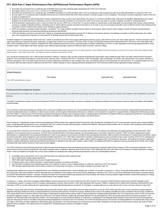- QA monitor may recommend TA on a particular topic of identified need and provide self-study guides developed by the CSPD Unit on that topic.
- Lead Agency issues written policy briefs or clarifications on identified issues.
- QA monitor may recommend TA on a particular topic of identified need (based on provider questions and/or minor inconsistencies in files reviewed) and refer the provider administration to contact the CSPD Unit. QA may require TA on a particular topic of identified need as part of a Corrective Action Plan (CAP) when a provider or provider program is out of compliance. The provider or provider organization is given a time limit by which to complete the TA.
- . Quarterly First Connections' staff meeting where TA topic is delivered face to face as part of each staff meeting. The topic for TA is based on identified needs. Staff needs are identified collaboratively by the program manager over the state staff service coordinators, QA Unit, Fiscal Unit, and Data Unit based on recurring errors noted, record review, any parent or provider complaints, and staff TA requests/questions.
- · By EI professional's request (phone call or e-mail to the Data Unit, QA Unit, CSPD Unit, or Fiscal Unit). TA may be provided on a specific topic via self-study guide sent electronically, Web training, routing individual or group to a regularly scheduled workshop, scheduling a site TA visit for staff, the question answered on the phone or in an email, or one-on-one assistance (provider comes to office for tutorial or AEI professional and TA provider connects via phone and computer screen sharing for guided assistance).
- CSPD Unit maintains a quarterly provider newsletter, Connections. The 4-page quarterly newsletter features articles on best practices, latest research, policy changes or points of frequent misunderstanding frequently asked questions, and upcoming professional development opportunities.
- . CSPD Unit develops a one-hour "Lunch and Learn" Webinar on a frequently asked question/topic and posts the TA offering on the training calendar in the database accessible to all AEI professionals, then notifies each of the unit personnel so that they can recommend the TA Webinar to those with an interest and/or need.

Technical Assistance for professionals outside of the Part C system is provided by the CSPD Unit to support parents/parent advocacy groups, other referral sources, and "other related agencies." Technical Assistance of this nature is provided upon request by the group, organization, or agency that contacts First Connections. The scope of this TA varies, but generally revolves around understanding Part C and how to refer, family rights under IDEA, IDEA timelines/process from referral to completed IFSP, IDEA guidelines/requirements around supporting families of toddlers transitioning out of Part C to other appropriate early learning programs/services. Some examples include: "Family Rights under IDEA" training to early childhood special education students at Henderson State University's Teachers College.

Arkansas Part C First continues to receive high quality Technical Assistance and valuable resources from our national partners: Early Childhood Technical Assistance Center (ECTA Center), IDEA Early Childhood Data System (DaSY) , IDEA Data Center (IDC), and National Center for Systemic Improvement (NCSI).

Also, through the reporting period, Part C staff has taken benefit from webinars, conference calls, and other professional development opportunities made available through OSEP and OSEP national technical assistance programs. First Connections assembled an "Improving Family Outcomes Team" consisting of the Part C Coordinator, CSPD Unit Manager, Data Unit Manager, QA Monitor, IHE representative, and a parent. Members of this team participates in the Cross-State Family Outcomes Learning Collaborative (annual face to face workdays, team calls, and Webinars geared to improving family and child outcomes). As an added beneifit for the First Connections staff, they attend national conferences and other Part C-related meetings to ensure ongoing professional development for First Connections staff as well as appropriate program guduiance.

#### **Attachments**

**File Name Uploaded By Uploaded Date**

No APR attachments found.

#### **Professional Development System:**

The mechanisms the State has in place to ensure that service providers are effectively providing services that improve results for infants and toddlers with disabilities and their families.

The State's Comprehensive System of Personnel Development (CSPD) ensures that service providers and service coordinators are effectively providing services that improve results for infants and toddlers with disabilities and their families.

First Connections' professional development activities seek to ensure accountability and promote the use of recommended and evidence-based practices. The goal of First Connections' ongoing professional development is to provide El professionals (service coordinators, El direct service providers, and El program administration) with the tools, confidence, and competence to equip them to support families in helping their child develop and le (our SSIP SiMR). To meet this goal, First Connections' professional development activities seek to support providers in meeting program requirements (compliance) while also supporting EI practitioners in providing quality family-centered supports and services to families of eligible infants and toddlers in an individualized, culturally sensitive, and ethical manner.

First Connections' Comprehensive System of Personnel Development (CSPD) involves many organized elements that include: policy development, developing PD and TA around provider requests and/or program identified needs, coordinating staff development/in-service, providing PD and TA in a variety of formats (self-study guides, lunchtime live Webinars, Web-based training modules, site TA, and face to face workshops), and developing training to prepare EI practitioners to serve as peer mentors/coaches.

To ensure that First Connections' (FC) PD and TA is high-quality, evidence-based training, CSPD staff and TA providers from other FC units reference the philosophy and guiding principles of Early Intervention, IDEA guidelines, First Connections policy & procedures, and DEC Recommended Practices in all training materials, QA sessions/discussions, and written responses to inquiries. CSPD Unit staff is supported by program administration in maintaining their own professional development in order to stay abreast of current trends in the field of early learning/early intervention; staff is provided current literature on routines-based interven environment principles, family engagement, and coaching/consultative approaches in EI. CSPD staff is trained both in principles of adult learning as well as principles of peer to peer coaching. All PD and TA workshops and Webinars include a combination of lecture (with visual representations in the form of screen shots, diagrams, graphs, videos), reflective activities and/or self-assessment, discussion, and "putting it into practice" applic information than what could be covered in a short amount of time together.

The CSPD conducts formal and informal assessment to determine personnel development needs and develops pre and post assessments to gauge the effectiveness of training. CSPD unit personnel participate in Part C record review as well as review EI professionals' (and others') questions and/or complaints to determine areas of PD/TA need. CSPD collaborates with other units within First Connections to maintain awareness of program needs in areas of compliance and quality. New courses and/or materials are developed and existing professional development courses are revised/updated whenever:

- a. an identified need is reported from one or more units that needs to be addressed within a particular topic
- b. state or federal policy change require adjustments
- c. OSEP DMR and/or Determination show an area of needed improvement
- d. provider(s) request more in-depth information or submit frequent questions on a policy or procedure
- e. new information is obtained on principles/best practices from a national TA partner, a Part C-related Webinar or conference, and/or from CSPD Unit research
- f. SSIP strategy implementation/focus areas require a change in the way training is provided or a more in-depth coverage of a procedure, topic, etc.

Existing training materials and courses are updated/revised or new materials are developed when a need is identified (see a-f above). For example, in response to "f" above, during initial implementation of SSIP work with t first cohort group, data review identified a need for state-staff service coordinators to be included in the intensive training. Beginning in February of 2017, all First Connections staff began the first phase of intensive around DEC Recommended Practices – basically "re-training" the entire First Connections staff through quarterly face to face workdays with hands-on learning activities supplemented by monthly Web trainings and "Putting it into Practice" activities to solidify their learning and implementation of key strategies trained.

In response to "c" above, when First Connections' DMR identified a need for improvement in the area of Child Find, the CSPD used the First Connections' Child Find Plan for improvement and SSIP strategies around "remarketing the program" to develop a brief EI Orientation training geared to primary referral sources. CSPD staff collaborated with Arkansas' Children's Hospital (ACH) to identify which individuals would benefit from this information. CSPD is currently working with ACH administration to schedule dates/times/locations to provide the "EI Orientation" to hospital staff such as social workers, NICU nurses, and other clinicians in early 2018.

Similarly, in various years when Arkansas' Determination data showed child outcomes data at a level below where the State would like for it to be, the CSPD worked with other units in First Connections to analyze data and determine what steps needed to be taken to support practitioners in improving child outcomes. Provider focus groups, feedback at face to face COS trainings, and talking to service coordinators about how they complete the COS ratings helped First Connections identify small changes in State-approved rating tool that could be made to support practitioners in helping families participate in the COS rating process, and the CSPD Unit made the practitioner-suggested changes to a State-approved tool (Decision Tree Rating Flowchart). Additionally, information gathered from the field helped the CSPD Unit develop training around COS that was geared to "who needed it" and "what information and support they needed." The result included a one-hour introductory Webinar on "teamwork" in completing the COS rating with family members as part of the IFSP process using approved tools and enhancing the hands-on simulated small group learning activity/practice in the face to face COS workshop. The CSPD Unit and Data Unit are in the process of working together to host regional data camps around COS data in 2018 where providers registering to attend will be given their program's COS data and taught how to interpret and use their data. Participants in the data camps will also practice using a case study and stateapproved tools to complete a COS rating as part of a simulated IFSP meeting where peer coaches are available to support.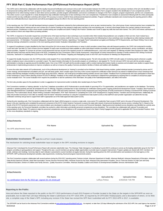The CSPD work is informed by collaboration with the Quality Assurance/Certification and Licensure Unit as well. Communication between the CSPD and Certification and Licensure members of the QA Unit identified a need for all personnel working within the Part C program to have certain "core competencies." Ongoing collaboration across units within the State's Part C program resulted in the identification of core competencies and the development of an online training module to orient direct service providers, provider program administration, and service coordinators to changes in the Part C program, program requirements, and the core competencies. This online course is a pre-requisite for a newly developed two-day certification training (face to face workshop) on the core competencies. Practitioners must complete an assessment following both the online prerequisite module and the two-day certification workshop with at least 70% accuracy to receive credit for these professional development activities. Program certification standards were revised during this reporting period to reflect these new certification/licensure requirements and will be promulgated and go into effect in the next reporting period.

In this reporting year, the CSPD Unit staff developed training to prepare EI practitioners selected by their professional peers to serve as peer mentors/coaches. One cohort group of peer mentors/coaches have completed the first phase of initial coaches' training and are now in phase two of coaches' training as they prepare to begin peer coaching in the next reporting year. A second cohort began phase one coaches' training to become peer mentors/coaches. Practitioners in each cohort receive monthly training and complete and submit "Putting it into Practice" activities each month to apply key skills that have been trained. The CSPD Unit reviews submissions of peer coaches to inform and shape follow up training activities.

The CSPD, in response to EI provider request has converted some of the basic level face to face workshops to pre-recorded online Web modules that practitioners can complete on their own time. Each module has a post-assessment that participants must complete with 70% accuracy in order to receive credit for the course. In this reporting period, the following face to face workshops were reconfigured as online training modules with post assessments: : EI Orientation, Procedural Safeguards, Natural Environment Practices, Appointing a "Surrogate Parent" (educational surrogate) and Meeting CAPTA Requirements, and Report Writing. Face to face workshop trainings scheduled for conversion in the next reporting period include: Evaluation Interpretation and Transition.

To support EI practitioners in topics identified by the Data Unit and the QA Unit as areas of low performance or areas in which providers contact these units with frequent questions, the CSPD Unit conducted bi-monthly "Lunch and Learn" live Web TA. Each of these one-hour targeted TA topics were recorded and made available as online Web-based modules accessible to provider program administration, service coordinators, and direct service providers. Targeted TA courses do not have a post-assessment and are not part of the required courses for certification/licensure. Lunch and Learn targeted TA offerings included: Best Practices for Intake, OSEP Child and Family Outcomes and the Parent Goal on the IFSP, Completing the First Connections Child & Family Assessment, Using Results of Family Assessment to Develop a Family-centered IFSP, Writing Functional Outcomes, Teamwork in Completing the COS Process, IFSP Development, IFSP Review / Targeting and Retargeting Goals on the IFSP, and Procedures for Meeting Exit Requirements.

To support the Quality Assurance Unit, the CSPD provides onsite targeted TA to meet identified needs from monitoring reports. The QA Unit provides the CSPD Unit with copies of monitoring reports whenever a quality and/or compliance issue is documented on a provider's report. The report includes information for the provider program on scheduling on- site targeted TA. The QA Unit and CSPD Unit work with the provider program administration to develop an agenda around the identified needs. One or two CSPD Unit staff visit the provider program staff to conduct training that includes hands-on practices and simulated case studies to support these professionals in implementing procedures to improve compliance as well as to improve the quality of services provided to families of infants and toddlers with disabilities.

To serve the entire state network of EI professionals, much of the professional development (or "training") is provided via live Webinars, Web-based training modules, guided individual tutorials (connected by phone and PC screen sharing), phone/chat/email consultation and Q/A, and self-study guides. More complex topics and many of the courses required for certification and/or licensure are trained in traditional face to face workshops that employ adult learning strategies including small and large group discussion, reflection, and small group simulated training activities around case studies. Feedback from EI professionals who have participated in these face to face workshops is used to inform planning of future PD and TA offerings. Feedback on the content and quality of face to face workshops is obtained from participants by requiring them to complete an anonymous paper course evaluation form. The course evaluation form requires the practitioner to rate the usefulness of the information, the quality of the materials/presentation, and skills of the trainer.

The form also provides space for the practitioner to write in suggestions for improvement and/or to identify other needed topics for future PD/TA.

First Connections maintains a "training calendar" on the Part C database accessible to all EI Professionals to provide details of upcoming PD or TA opportunities, and practitioners can register on the database. The trainin calendar is updated quarterly and lists all scheduled PD and TA offerings. Regularly scheduled face to face workshops for certification training and/or ongoing professional development include: Transition, Best Practices i Case Management/Service Coordination, Best Practices for Intake, OSEP Child and Family Outcomes, Child & Family Assessment and Using Results of Family Assessment to Develop a Functional IFSP, Writing Functional Outcomes, Prior Authorization (fiscal), Report Writing, Evaluation Interpretation, IFSP Team Teamwork in Completing the COSF, IFSP Development & Ongoing Review, Transition and Exit Requirements. Additionally, the Data Unit provides bi-annual (or more often as needed) "train the trainer" interactive workshops on using the Comprehensive Data System (CDS) so that staff from each provider organization can attend the two day certification workshop and go back to support their staff in appropriate use of the State-approved data system (CDS).

During the prior reporting cycle, First Connections collaborated with the State's B/619 program to convene a state-wide, cross-sector PD Leadership Team as part of SSIP work in the area of Personnel Development. This group, in the prior reporting cycle completed the personnel component of the ECTA Center Systems Framework to assess the state-wide network of personnel development (across sectors, including Part C). Based on the group, in the prior reporting system provided the personnel committees were developed to address the areas of In-service and Personnel Standards. Aligning personnel standards across disciplines was identified as a priority In this reporting cycle, the Personnel Standards committee has worked to collect information and identify personnel competencies across disciplines. The committee has collaborated with national TA providers and representatives of other States' PD systems to align the personnel competencies across disciplines to AR competencies found in the State's Family Engagement Guide and to applicable DEC Recommended Practices. Work on the cross-disciplinary standards is ongoing.

| <b>Attachments</b>                                                                                                                                                                                                                                                                                                                                                                                                                                                                                                                                                                                                                                                                                                                                                                                   |                    |                      |        |  |  |  |  |
|------------------------------------------------------------------------------------------------------------------------------------------------------------------------------------------------------------------------------------------------------------------------------------------------------------------------------------------------------------------------------------------------------------------------------------------------------------------------------------------------------------------------------------------------------------------------------------------------------------------------------------------------------------------------------------------------------------------------------------------------------------------------------------------------------|--------------------|----------------------|--------|--|--|--|--|
| <b>File Name</b>                                                                                                                                                                                                                                                                                                                                                                                                                                                                                                                                                                                                                                                                                                                                                                                     | <b>Uploaded By</b> | <b>Uploaded Date</b> |        |  |  |  |  |
| No APR attachments found.                                                                                                                                                                                                                                                                                                                                                                                                                                                                                                                                                                                                                                                                                                                                                                            |                    |                      |        |  |  |  |  |
|                                                                                                                                                                                                                                                                                                                                                                                                                                                                                                                                                                                                                                                                                                                                                                                                      |                    |                      |        |  |  |  |  |
| Stakeholder Involvement:<br><u>Meapply</u> this to all Part C results indicators<br>The mechanism for soliciting broad stakeholder input on targets in the SPP, including revisions to targets.                                                                                                                                                                                                                                                                                                                                                                                                                                                                                                                                                                                                      |                    |                      |        |  |  |  |  |
| Arkansas Part C developed the Annual Performance Report with extensive stakeholder input. The Arkansas' State Interagency Coordinating Council (AICC) continues to serves as the leading stakeholder group for the Part C<br>program, providing on-going guidance and support. Thoughout the year, council members are giving multiple opportunities to provide input on program improvement. Program updates are shared with AICC members via<br>emails, webinars and meetings. Summary data for each indicator is presented to council members at regular intervals. During the reporting period, the AICC provided advice and assistance to the lead agency on the<br>SPP/APR, SIPP, professional development activities, data requirements, monitoring, fiscal and program improvements actions. |                    |                      |        |  |  |  |  |
| The First Connections program collaborated with several partners during the 2016-2017 reporting period. Partners include: Arkansas Department of Health, Arkansas Medicaid, Arkansas Department of Education, Arkansas<br>Fetal Alcohol Spectrum Disorder, Head Start Association, Human Services Personnel Office, Arkansas School for the Deaf, Arkansas Early Intervention Providers, Zero to Three the Division of Child Care and Early<br>Childhood Education, Division of Children and Family Services, Quality Assurance Committee, Arkansas Disability Coalition and Division of Developmental Disabilities Services Administrative Staff.                                                                                                                                                   |                    |                      |        |  |  |  |  |
|                                                                                                                                                                                                                                                                                                                                                                                                                                                                                                                                                                                                                                                                                                                                                                                                      |                    |                      |        |  |  |  |  |
| <b>Attachments</b>                                                                                                                                                                                                                                                                                                                                                                                                                                                                                                                                                                                                                                                                                                                                                                                   |                    |                      |        |  |  |  |  |
| <b>File Name</b>                                                                                                                                                                                                                                                                                                                                                                                                                                                                                                                                                                                                                                                                                                                                                                                     | <b>Uploaded By</b> | <b>Uploaded Date</b> | Remove |  |  |  |  |
| icc certification form for ffy 2016 apr -signed (01-25-2018).pdf                                                                                                                                                                                                                                                                                                                                                                                                                                                                                                                                                                                                                                                                                                                                     | LaToya Pettus      | 1/25/2018 7:05 PM    |        |  |  |  |  |
|                                                                                                                                                                                                                                                                                                                                                                                                                                                                                                                                                                                                                                                                                                                                                                                                      |                    |                      |        |  |  |  |  |
| <b>Reporting to the Public:</b>                                                                                                                                                                                                                                                                                                                                                                                                                                                                                                                                                                                                                                                                                                                                                                      |                    |                      |        |  |  |  |  |

How and where the State reported to the public on the FFY 2015 performance of each EIS Program or Provider located in the State on the targets in the SPP/APR as soon as practicable, but no later than 120 days following the State's submission of its FFY 2015 APR, as required by 34 CFR §303.702(b)(1)(i)(A); and a description of where, on its Web site, a complete copy of the State's SPP, including any revision if the State has revised the SPP that it submitted with its FFY 2015 APR in 2017, is available.

The SPP/APR can be found on the Arkansas First Connections website at www.arkansas.gov/dhs/ddds/FirstConn . As required, no later than 120 days following the submission of the 2015 APR, the Lead Agency has reported 8/20/2018 Page 4 of 37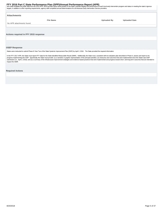<span id="page-4-0"></span>and made available the public data from the 2015 APR. AEIS provider report cards posted on the state's website displays the performance of each local early intervention program and status in meeting the state's rigorous<br>ta

| Attachments                           |                  |                    |                      |
|---------------------------------------|------------------|--------------------|----------------------|
|                                       | <b>File Name</b> | <b>Uploaded By</b> | <b>Uploaded Date</b> |
| No APR attachments found.             |                  |                    |                      |
|                                       |                  |                    |                      |
| Actions required in FFY 2015 response |                  |                    |                      |

#### **OSEP Response**

States were instructed to submit Phase III Year Two of the State Systemic Improvement Plan (SSIP) by April 2, 2018. The State provided the required information.

In the FFY 2017 APR, the State must report FFY data for the State-identified Measurable Result (SiMR). Additionally, the State must, consistent with its evaluation plan described in Phase II, assess and report on its<br>progr impact the SiMR.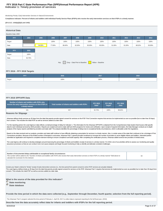## **Indicator 1: Timely provision of services FFY 2016 Part C State Performance Plan (SPP)/Annual Performance Report (APR)**

Monitoring Priority: Early Intervention Services In Natural Environments

**Compliance indicator: Percent of infants and toddlers with Individual Family Service Plans (IFSPs) who receive the early intervention services on their IFSPs in a timely manner.**

#### **(20 U.S.C. 1416(a)(3)(A) and 1442)**

| <b>Historical Data</b><br>Baseline Data: 2005                                 |        |        |        |        |        |        |        |        |        |        |        |
|-------------------------------------------------------------------------------|--------|--------|--------|--------|--------|--------|--------|--------|--------|--------|--------|
| <b>FFY</b>                                                                    | 2004   | 2005   | 2006   | 2007   | 2008   | 2009   | 2010   | 2011   | 2012   | 2013   | 2014   |
| Target                                                                        |        |        | 100%   | 100%   | 100%   | 100%   | 100%   | 100%   | 100%   | 100%   | 100%   |
| Data                                                                          |        | 94.90% | 77.00% | 88.40% | 82.00% | 95.00% | 90.00% | 91.00% | 91.00% | 88.52% | 93.00% |
| <b>FFY</b>                                                                    | 2015   |        |        |        |        |        |        |        |        |        |        |
| Target                                                                        | 100%   |        |        |        |        |        |        |        |        |        |        |
| Data                                                                          | 92.70% |        |        |        |        |        |        |        |        |        |        |
| Key: $\boxed{\phantom{a}}$ Gray – Data Prior to Baseline<br>Yellow - Baseline |        |        |        |        |        |        |        |        |        |        |        |

### **FFY 2016 - FFY 2018 Targets**

| FFY                 | 2016         | 2017 | 2018 |
|---------------------|--------------|------|------|
| <sup>'</sup> Target | 1000<br>100% | 100% | 100% |

#### **FFY 2016 SPP/APR Data**

| Number of infants and toddlers with IFSPs who<br>receive the early intervention services on their IFSPs in<br>a timely manner | Total number of infants and toddlers with IFSPs | <b>FFY 2015</b><br>Data* | <b>FFY 2016</b><br>Target* | <b>FFY 2016</b><br><b>Data</b> |
|-------------------------------------------------------------------------------------------------------------------------------|-------------------------------------------------|--------------------------|----------------------------|--------------------------------|
| 341                                                                                                                           | 457                                             | 92.70%                   | 100%                       | 88.62%                         |

#### **Reasons for Slippage**

Arkansas defines timely services as 30 days from the date that parents provide signed consent for services on the IFSP. First Connection requires that services be implemented as soon as possible (but no later than 30 days) from consent. This includes the initial IFSP as well as services added at a later date.

For this reporting period, the Lead Agency's data reflects a small percentage of delay for Indicator 1. The information for the Arkansas SPP\APR is obtained from the Comprehensive Data System that houses child specific data for each individual serviced by AEIS providers. Reports are created and sent to state staff and AEIS programs for review and verification. Upon receipt of required information, the Data Manager conducts an in-depth analysis of the inquiry reports submitted by providers and state staff. The analysis identifies the percentage of delays due to exceptional family circumstances, which is allowable under the regulations.

Based on the data received and our analysis, providers and state staff continue to have difficulty obtaining a prescription for services in a timely manner. Also, in certain areas of the state their continues to be a short Connections providers. Because of the limited number of therapist in rural areas, Arkansas Part C opened provider enrollment to increase the number of providers to serve eligible infants and toddlers. Interested parties submitted an application and required to complete extensive training to ensure compliance and build capacity. After completing the certification process, Arkansas added several new providers in limited areas.

The Lead Agency will continue to develop strategies around improving the percentage of infants and toddlers receipt of services in a timely manner. For 2018, one of our priorities will be to assess our monitoring and quali assurance processes so that we can conduct more root cause analyses and begin focused monitoring to help us identify and alleviate consistent challenges.

| Number of documented delays attributable to exceptional family circumstances<br>This number will be added to the "Number of infants and toddlers with IFSPs who receive their early intervention services on their IFSPs in a timely manner" field above to<br>calculate the numerator for this indicator. |
|------------------------------------------------------------------------------------------------------------------------------------------------------------------------------------------------------------------------------------------------------------------------------------------------------------|
|------------------------------------------------------------------------------------------------------------------------------------------------------------------------------------------------------------------------------------------------------------------------------------------------------------|

Include your State's criteria for "timely" receipt of early intervention services (i.e., the time period from parent consent to when IFSP services are actually initiated).

The Lead Agency defines timely as 30 days from the date that parents provide signed consent for services on the IFSP. Arkansas Part C requires that services be implemented as soon as possible( but no later than 30 days) fr consent. This includes the intial IFSP as well as services added at a later date.

**What is the source of the data provided for this indicator?**

- **State monitoring**
- **State database**

**Provide the time period in which the data were collected (e.g., September through December, fourth quarter, selection from the full reporting period).**

The Arkansas' Part C program selected the time period of February 1- April 30, 2017 to collect data to represent reporting for the full fiscal year. (2016)

**Describe how the data accurately reflect data for infants and toddlers with IFSPs for the full reporting period.**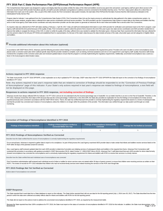The Comprehensive Data System was designed to capture and display data that accurately exhibits the status of the infant and toddlers record at any given time and period. Lead Agency staff are given direct access to the electronic record of each AEIS provider that allows specific unit staff to provide clarification and guidance to address concerns connected to the families that they serve. The Part C data system allows for a direct flow o information from each user in the system. Also, as part of the child's record, the First Connections' data system includes, the start date of the IFSPand the first date of service that the child received as indicated on the Individualized Family Service Plan.

Program data for indicator 1 was gathered from the Comprehensive Data System (CDS). First Connections Data Unit use the inquiry process to authenticate the data gathered in the states comprehensive system. As required for proper analysis, program data is collected from state service coordinators and local service providers. The AEIS providers use the Comprehensive Data System to report data on the infants and toddlers that they serve in their local agency. Each state service coordinator and early intervention provider use the data system to generate an electronic file for each infant and toddler that is served under First Connections.

As required, data was collected from IFSP with dates starting a February 1- April 30, 2017. Data unit staff sent individualized information to each AEIS provider for verification and submission back to the Part C program. Agency staff selected this time period because of the quality of data. First Connections opted to select the period of time closest to the end of the year to give new state service coordinators and AEIS providers needed ti improve their ability to navigate the intricacy of the CDS. In order to certify the quality of the data; sufficient time was needed to validate the information given. Arkansas Data Team examined the information that was co this time period to data for the full year (FFY2016) and established that it is representative of a full year of the state's data because the data includes all areas of the state. all provider types and all categories of e and toddlers.

## **Provide additional information about this indicator (optional)**

In accordance with OSEP Memo 09-02, Arkansas used the following procedure where findings of noncompliance were not corrected in the required time period. Providers who were not able to correct noncompliance were placed under a corrective action plan which outlined specific steps that the provider needed to complete, such as training, technical assistance and one on one support from Lead Agency staff. Quality Assurance staff closel monitored the completion of the corrective action plan and reviewed updated data to ensure that the program is correctly implementing the regulatory requirements. Additionally, uncorrected noncompliance was a used as a factor in the local programs determination status.

#### **Actions required in FFY 2015 response**

The State must provide, in its FFY 2016 SPP/APR, a clear explanation as to why it updated its FFY 2014 data. OSEP notes that in the FFY 2015 SPP/APR the State did report on the correction of six findings of noncompliance identified in FFY 2014.

Note: Any actions required in last year's response table that are related to correction of findings should be responded to on the "Correction of Previous Findings of Noncompliance" page of this indicator. If your State's only actions required in last year's response are related to findings of noncompliance, a text field will not be displayed on this page.

#### **Responses to actions required in FFY 2015 response, not including correction of findings**

Arkansas records have always reflected 93% for Indicator 1 for FFY 2014; and we do not understand why the incorrect percentage was in Grads360. It is our belief, that this is an error on the Part of Grads360. Therefore, in FFY 2015, Arkansas revised the 2014 data to 93% because that was the correct percentage. Furthermore, in the 2015 APR, the State also provided an explanation for how the findings of noncompliance for timely services reported previously were corrected in accordance with the OSEP 09-02 memo. That is, the state has verified that each EIS provider is correctly implementing the regulatory requirements based on a review of subsequent data and that the provider has corrected each instance of noncompliance unless the children is no longer within the jurisdiction of the provider. This information was verified through our data system and through our onsite monitoring.

#### **Correction of Findings of Noncompliance Identified in FFY 2015**

| Findings of Noncompliance Verified as<br>Findings of Noncompliance Identified<br><b>Corrected Within One Year</b> |  | <b>Findings of Noncompliance Subsequently</b><br>Corrected | <b>Findings Not Yet Verified as Corrected</b> |  |  |
|-------------------------------------------------------------------------------------------------------------------|--|------------------------------------------------------------|-----------------------------------------------|--|--|
|                                                                                                                   |  |                                                            |                                               |  |  |

#### **FFY 2015 Findings of Noncompliance Verified as Corrected**

Describe how the State verified that the source of noncompliance is correctly implementing the regulatory requirements

On an annual basis, Arkansas is required to gather data to report on its compliance. As part of that process the Lead Agency examined AEIS provider data to make certain that infants and toddlers receive services listed on IFSP within 30 days of the parental consent for services.

Also, Lead Agency staff reviewed updated data from each AEIS provider to determine if providers are initiating services of subsequent infants and toddlers in the required time frame. Arkansas First Connections staff conducted this procedure in accordance with guidance provided in OSEP Memorandum 09-02, dated October 17, 2008 (OSEP Memo 09-02). Arkansas Part C staff determined that each AEIS provider for whom data formerly showed noncompliance has corrected the noncompliance and is correctively implementing the regulatory requirement for infants and toddlers with IFSPs to receive their services in a timely manner.

Describe how the State verified that each individual case of noncompliance was corrected

First Connections administrative staff reviewed each individual record of infant or toddler for whom services were not started within 30 days of parent consent; to ensure that children were receiving services as written on IFSP's. The review of records for FFY 2015 indicaited that children who had not received timely services were indeed receiving the services on the IFSP, even though late.

#### **FFY 2015 Findings Not Yet Verified as Corrected**

Actions taken if noncompliance not corrected

#### **OSEP Response**

The State reported that it used data from a State database to report on this indicator. The State further reported that it did not use data for the full reporting period (July 1, 2016-June 30, 2017). The State described ho period in which the data were collected accurately reflects data for infants and toddlers with IFSPs for the full reporting period.

The State did not report on the actions it took to address the uncorrected noncompliance identified in FFY 2015, as required by the measurement table.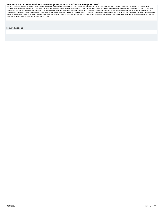## <span id="page-7-0"></span>FFY 2016 Part C State Performance Plan (SPP)/Annual Performance Report (APR)<br>FFY 2017 SPP/APR, that the remaining five uncorrected findings of noncompliance identified in FFY 2015 were corrected. When reporting on the corr

SPP/APR, that it has verified that each EIS program or provider with findings of noncompliance identified in FFY 2016 and each EIS program or provider with remaining noncompliance identified in FFY 2015: (1) is correctly implementing the specific regulatory requirements (i.e., achieved 100% compliance) based on a review of updated data such as data subsequently collected through on-site monitoring or a State data system; and (2) has corrected each individual case of noncompliance, unless the child is no longer within the jurisdiction of the EIS program or provider, consistent with OSEP Memo 09-02. In the FFY 2017 SPP/APR, the State must describe the<br>s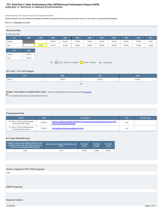## **Indicator 2: Services in Natural Environments FFY 2016 Part C State Performance Plan (SPP)/Annual Performance Report (APR)**

Monitoring Priority: Early Intervention Services In Natural Environments

**Results indicator: Percent of infants and toddlers with IFSPs who primarily receive early intervention services in the home or community-based settings.**

### **(20 U.S.C. 1416(a)(3)(A) and 1442)**

| <b>Historical Data</b><br>Baseline Data: 2005                                   |        |        |        |        |        |        |        |        |        |        |        |
|---------------------------------------------------------------------------------|--------|--------|--------|--------|--------|--------|--------|--------|--------|--------|--------|
| <b>FFY</b>                                                                      | 2004   | 2005   | 2006   | 2007   | 2008   | 2009   | 2010   | 2011   | 2012   | 2013   | 2014   |
| Target $\geq$                                                                   |        |        | 64.00% | 68.00% | 70.00% | 72.00% | 45.50% | 45.75% | 46.00% | 70.00% | 73.00% |
| Data                                                                            |        | 62.95% | 52.72% | 46.00% | 42.00% | 45.00% | 38.00% | 32.00% | 33.00% | 74.38% | 74.48% |
| <b>FFY</b>                                                                      | 2015   |        |        |        |        |        |        |        |        |        |        |
| Target $\geq$                                                                   | 76.00% |        |        |        |        |        |        |        |        |        |        |
| Data                                                                            | 76.28% |        |        |        |        |        |        |        |        |        |        |
| Gray - Data Prior to Baseline   Yellow - Baseline<br>Blue - Data Update<br>Key: |        |        |        |        |        |        |        |        |        |        |        |

## **FFY 2016 - FFY 2018 Targets**

| FFY           | 2016   | 2017   | 2018   |  |  |  |
|---------------|--------|--------|--------|--|--|--|
| Target $\geq$ | 79.00% | 82.00% | 85.00% |  |  |  |
| Key:          |        |        |        |  |  |  |

## **Targets: Description of Stakeholder Input** - Please see the Stakeholder Involvement section of the *introduction*.

**Enter additional information about stakeholder involvement** 

## **Prepopulated Data**

| <b>Source</b>                                                        | <b>Date</b> | <b>Description</b>                                                                                                                     | <b>Data</b> | <b>Overwrite Data</b> |
|----------------------------------------------------------------------|-------------|----------------------------------------------------------------------------------------------------------------------------------------|-------------|-----------------------|
| SY 2016-17 Child Count/Educational<br><b>Environment Data Groups</b> | 7/12/2017   | Number of infants and toddlers with IFSPs who primarily receive early intervention services in the<br>home or community-based settings | 1,445       |                       |
| SY 2016-17 Child Count/Educational<br><b>Environment Data Groups</b> | 7/12/2017   | Total number of infants and toddlers with IFSPs                                                                                        | 1,722       |                       |

## **FFY 2016 SPP/APR Data**

| Number of infants and toddlers with IFSPs who<br>primarily receive early intervention services in<br>the home or community-based settings | Total number of infants and toddlers with<br><b>IFSPs</b> | <b>FFY 2015</b><br>Data* | <b>FFY 2016</b><br>Target* | <b>FFY 2016</b><br><b>Data</b> |
|-------------------------------------------------------------------------------------------------------------------------------------------|-----------------------------------------------------------|--------------------------|----------------------------|--------------------------------|
| 1.445                                                                                                                                     | 1.722                                                     | 76.28%                   | 79.00%                     | 83.91%                         |

| Actions required in FFY 2015 response |  |  |
|---------------------------------------|--|--|
| none                                  |  |  |
|                                       |  |  |
|                                       |  |  |
| <b>OSEP Response</b>                  |  |  |
|                                       |  |  |
|                                       |  |  |
|                                       |  |  |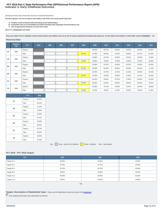## **Indicator 3: Early Childhood Outcomes FFY 2016 Part C State Performance Plan (SPP)/Annual Performance Report (APR)**

Monitoring Priority: Early Intervention Services In Natural Environments

**Results indicator: Percent of infants and toddlers with IFSPs who demonstrate improved:**

- 
- A. Positive social-emotional skills (including social relationships);<br>B. Acquisition and use of knowledge and skills (including early language/ communication); and<br>C. Use of appropriate behaviors to meet their needs.
- 

**(20 U.S.C. 1416(a)(3)(A) and 1442)**

**Does your State's Part C eligibility criteria include infants and toddlers who are at risk of having substantial developmental delays (or "at-risk infants and toddlers") under IDEA section 632(5)(B)(i)? No**

## **Historical Data**

|                | <b>Baseline</b><br>Year | <b>FFY</b>    | 2004 | 2005 | 2006 | 2007 | 2008   | 2009   | 2010   | 2011   | 2012   | 2013   | 2014   |
|----------------|-------------------------|---------------|------|------|------|------|--------|--------|--------|--------|--------|--------|--------|
| A1             | 2008                    | Target $\geq$ |      |      |      |      |        | 56.50% | 56.75% | 56.00% | 56.25% | 60.00% | 61.00% |
|                |                         | Data          |      |      |      |      | 56.00% | 67.00% | 66.00% | 70.00% | 59.00% | 68.13% | 81.93% |
| A <sub>2</sub> | 2008                    | Target $\geq$ |      |      |      |      |        | 24.50% | 24.75% | 25.00% | 25.25% | 30.00% | 31.00% |
|                |                         | Data          |      |      |      |      | 24.00% | 23.00% | 25.00% | 41.00% | 22.00% | 32.49% | 46.99% |
| <b>B1</b>      |                         | Target $\geq$ |      |      |      |      |        | 52.50% | 52.75% | 53.00% | 53.25% | 63.00% | 62.00% |
|                | 2008                    | Data          |      |      |      |      | 53.00% | 65.00% | 64.00% | 69.00% | 60.00% | 68.52% | 71.79% |
| <b>B2</b>      | 2008                    | Target $\geq$ |      |      |      |      |        | 20.50% | 20.75% | 21.00% | 21.25% | 28.00% | 30.00% |
|                |                         | Data          |      |      |      |      | 20.00% | 23.00% | 25.00% | 39.00% | 21.00% | 34.32% | 39.84% |
| C <sub>1</sub> | 2008                    | Target $\geq$ |      |      |      |      |        | 56.25% | 56.50% | 56.75% | 57.00% | 60.00% | 61.00% |
|                |                         | Data          |      |      |      |      | 56.00% | 65.00% | 64.00% | 69.00% | 58.00% | 66.28% | 79.01% |
| C <sub>2</sub> | 2008                    | Target $\geq$ |      |      |      |      |        | 22.50% | 22.75% | 23.00% | 23.25% | 28.00% | 30.00% |
|                |                         | Data          |      |      |      |      | 22.00% | 21.00% | 26.00% | 41.00% | 23.00% | 34.50% | 41.46% |

|                | <b>FFY</b>    | 2015   |
|----------------|---------------|--------|
| A <sub>1</sub> | Target $\geq$ | 62.00% |
|                | Data          | 64.34% |
| A <sub>2</sub> | Target $\geq$ | 31.25% |
|                | Data          | 42.90% |
| <b>B1</b>      | Target $\geq$ | 62.50% |
|                | Data          | 67.01% |
| <b>B2</b>      | Target $\geq$ | 31.00% |
|                | Data          | 36.91% |
| C <sub>1</sub> | Target $\geq$ | 62.75% |
|                | Data          | 65.83% |
| C <sub>2</sub> | Target $\geq$ | 32.00% |
|                | Data          | 42.43% |

Key: Gray – Data Prior to Baseline Yellow – Baseline Blue – Data Update

## **FFY 2016 - FFY 2018 Targets**

| <b>FFY</b>       | 2016   | 2017   | 2018   |
|------------------|--------|--------|--------|
| Target $A1 \geq$ | 63.00% | 64.00% | 65.00% |
| Target $A2 \geq$ | 31.50% | 31.75% | 32.00% |
| Target B1 $\geq$ | 62.75% | 62.75% | 63.00% |
| Target $B2 \geq$ | 33.00% | 33.00% | 34.00% |
| Target C1 $\geq$ | 63.00% | 63.00% | 63.25% |
| Target $C2 \geq$ | 33.00% | 33.00% | 34.00% |

Key:

**Targets: Description of Stakeholder Input** - Please see the Stakeholder Involvement section of the introduction.

Enter additional information about stakeholder involvement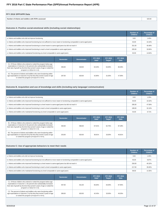| FFY 2016 SPP/APR Data                              |        |
|----------------------------------------------------|--------|
| Number of infants and toddlers with IFSPs assessed | 620.00 |

## **Outcome A: Positive social-emotional skills (including social relationships)**

|                                                                                                                                 | <b>Number of</b><br><b>Children</b> | Percentage of<br><b>Children</b> |
|---------------------------------------------------------------------------------------------------------------------------------|-------------------------------------|----------------------------------|
| a. Infants and toddlers who did not improve functioning                                                                         | 9.00                                | 1.45%                            |
| b. Infants and toddlers who improved functioning but not sufficient to move nearer to functioning comparable to same-aged peers | 63.00                               | 10.16%                           |
| c. Infants and toddlers who improved functioning to a level nearer to same-aged peers but did not reach it                      | 251.00                              | 40.48%                           |
| d. Infants and toddlers who improved functioning to reach a level comparable to same-aged peers                                 | 205.00                              | 33.06%                           |
| e. Infants and toddlers who maintained functioning at a level comparable to same-aged peers                                     | 92.00                               | 14.84%                           |

|                                                                                                                                                                                                                                                  | <b>Numerator</b> | <b>Denominator</b> | <b>FFY 2015</b><br>Data* | <b>FFY 2016</b><br>Target* | <b>FFY 2016</b><br><b>Data</b> |
|--------------------------------------------------------------------------------------------------------------------------------------------------------------------------------------------------------------------------------------------------|------------------|--------------------|--------------------------|----------------------------|--------------------------------|
| A1. Of those children who entered or exited the program below age<br>expectations in Outcome A, the percent who substantially increased<br>their rate of growth by the time they turned 3 years of age or exited the<br>program (c+d)/(a+b+c+d). | 456.00           | 528.00             | 64.34%                   | 63.00%                     | 86.36%                         |
| A2. The percent of infants and toddlers who were functioning within<br>age expectations in Outcome A by the time they turned 3 years of age<br>or exited the program (d+e)/(a+b+c+d+e).                                                          | 297.00           | 620.00             | 42.90%                   | 31.50%                     | 47.90%                         |

## **Outcome B. Acquisition and use of knowledge and skills (including early language/ communication)**

|                                                                                                                                 | <b>Number of</b><br><b>Children</b> | Percentage of<br><b>Children</b> |
|---------------------------------------------------------------------------------------------------------------------------------|-------------------------------------|----------------------------------|
| a. Infants and toddlers who did not improve functioning                                                                         | 8.00                                | 1.29%                            |
| b. Infants and toddlers who improved functioning but not sufficient to move nearer to functioning comparable to same-aged peers | 64.00                               | 10.32%                           |
| c. Infants and toddlers who improved functioning to a level nearer to same-aged peers but did not reach it                      | 295.00                              | 47.58%                           |
| d. Infants and toddlers who improved functioning to reach a level comparable to same-aged peers                                 | 199.00                              | 32.10%                           |
| e. Infants and toddlers who maintained functioning at a level comparable to same-aged peers                                     | 54.00                               | 8.71%                            |

|                                                                                                                                                                                                                                                  | Numerator | <b>Denominator</b> | <b>FFY 2015</b><br>Data* | <b>FFY 2016</b><br>Target* | <b>FFY 2016</b><br>Data |
|--------------------------------------------------------------------------------------------------------------------------------------------------------------------------------------------------------------------------------------------------|-----------|--------------------|--------------------------|----------------------------|-------------------------|
| B1. Of those children who entered or exited the program below age<br>expectations in Outcome B, the percent who substantially increased<br>their rate of growth by the time they turned 3 years of age or exited the<br>program (c+d)/(a+b+c+d). | 494.00    | 566.00             | 67.01%                   | 62.75%                     | 87.28%                  |
| B2. The percent of infants and toddlers who were functioning within<br>age expectations in Outcome B by the time they turned 3 years of age<br>or exited the program (d+e)/(a+b+c+d+e).                                                          | 253.00    | 620.00             | 36.91%                   | 33.00%                     | 40.81%                  |

## **Outcome C: Use of appropriate behaviors to meet their needs**

|                                                                                                                                 | Number of<br><b>Children</b> | Percentage of<br><b>Children</b> |
|---------------------------------------------------------------------------------------------------------------------------------|------------------------------|----------------------------------|
| a. Infants and toddlers who did not improve functioning                                                                         | 9.00                         | 1.45%                            |
| b. Infants and toddlers who improved functioning but not sufficient to move nearer to functioning comparable to same-aged peers | 55.00                        | 8.87%                            |
| c. Infants and toddlers who improved functioning to a level nearer to same-aged peers but did not reach it                      | 250.00                       | 40.32%                           |
| d. Infants and toddlers who improved functioning to reach a level comparable to same-aged peers                                 | 217.00                       | 35.00%                           |
| e. Infants and toddlers who maintained functioning at a level comparable to same-aged peers                                     | 89.00                        | 14.35%                           |

|                                                                                                                                                                                                                                                  | <b>Numerator</b> | <b>Denominator</b> | <b>FFY 2015</b><br>Data* | <b>FFY 2016</b><br>Target* | <b>FFY 2016</b><br>Data |
|--------------------------------------------------------------------------------------------------------------------------------------------------------------------------------------------------------------------------------------------------|------------------|--------------------|--------------------------|----------------------------|-------------------------|
| C1. Of those children who entered or exited the program below age<br>expectations in Outcome C, the percent who substantially increased<br>their rate of growth by the time they turned 3 years of age or exited the<br>program (c+d)/(a+b+c+d). | 467.00           | 531.00             | 65.83%                   | 63.00%                     | 87.95%                  |
| C2. The percent of infants and toddlers who were functioning within<br>age expectations in Outcome C by the time they turned 3 years of age<br>or exited the program (d+e)/(a+b+c+d+e).                                                          | 306.00           | 620.00             | 42.43%                   | 33.00%                     | 49.35%                  |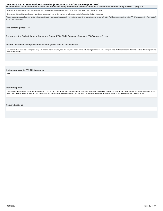# <span id="page-12-0"></span>FFY 2016 Part C State Performance Plan (SPP)/Annual Performance Report (APR)<br>The number of infants and toddlers who did not receive early intervention services for at least six months before exiting the Part C program

The number of infants and toddlers who exited the Part C program during the reporting period, as reported in the State's part C exiting 618 data The number of those infants and toddlers who did not receive early intervention services for at least six months before exiting the Part C program.

Please note that this data about the number of infants and toddlers who did not receive early intervention services for at least six months before exiting the Part C program is optional in this FFY16 submission. It will be in the FFY17 submission.

Was sampling used? No

**Did you use the Early Childhood Outcomes Center (ECO) Child Outcomes Summary (COS) process?** Yes

**List the instruments and procedures used to gather data for this indicator.**

The instruments used were the exiting data along with the child outcomes survey data. We compared the two sets of data making sure that we had a survey for every child that exited and who met the criteria of receiving serv for at least six months.

**Actions required in FFY 2015 response**

none

#### **OSEP Response**

States must report the following data starting with the FFY 2017 SPP/APR submission, due February 2019: (1) the number of infants and toddlers who exited the Part C program during the reporting period, as reported in the State's Part C exiting data under Section 618 of the IDEA; and (2) the number of those infants and toddlers who did not receive early intervention services for at least six months before exiting the Part C program.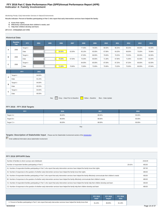## **Indicator 4: Family Involvement FFY 2016 Part C State Performance Plan (SPP)/Annual Performance Report (APR)**

Monitoring Priority: Early Intervention Services In Natural Environments

**Results indicator: Percent of families participating in Part C who report that early intervention services have helped the family:**

- **A. Know their rights;**
- **B. Effectively communicate their children's needs; and C. Help their children develop and learn.**

**(20 U.S.C. 1416(a)(3)(A) and 1442)**

#### **Historical Data**

|   | <b>Baseline</b><br>Year | <b>FFY</b>    | 2004 | 2005 | 2006   | 2007   | 2008   | 2009   | 2010   | 2011   | 2012   | 2013   | 2014   |
|---|-------------------------|---------------|------|------|--------|--------|--------|--------|--------|--------|--------|--------|--------|
|   | 2006                    | Target $\geq$ |      |      |        |        | 77.00% | 78.00% | 80.00% | 80.25% | 80.25% | 80.00% | 82.00% |
| A |                         | Data          |      |      | 59.00% | 62.00% | 65.10% | 65.00% | 67.90% | 64.20% | 68.00% | 75.00% | 78.96% |
|   |                         | Target $\geq$ |      |      |        |        | 67.00% | 68.00% | 70.00% | 70.25% | 70.25% | 80.00% | 82.00% |
| в | 2006                    | Data          |      |      | 70.00% | 67.50% | 70.30% | 69.00% | 71.30% | 67.90% | 71.00% | 81.00% | 81.84% |
|   |                         | Target $\geq$ |      |      |        |        | 84.00% | 85.00% | 87.00% | 87.25% | 87.25% | 80.00% | 82.00% |
| с | 2006                    | Data          |      |      | 71.00% | 70.80% | 72.80% | 73.00% | 75.90% | 73.20% | 75.00% | 80.00% | 87.84% |

|   | <b>FFY</b>    | 2015   |
|---|---------------|--------|
| A | Target $\geq$ | 84.00% |
|   | Data          | 81.24% |
| в | Target $\geq$ | 84.00% |
|   | Data          | 85.55% |
| с | Target $\geq$ | 84.00% |
|   | Data          | 85.55% |

Key: Gray – Data Prior to Baseline Vellow – Baseline Blue – Data Update

## **FFY 2016 - FFY 2018 Targets**

| <b>FFY</b>                         | 2016   | 2017   | 2018   |
|------------------------------------|--------|--------|--------|
| Target $A \geq$<br>______          | 86.00% | 88.00% | 90.00% |
| Target $B \geq$<br><b>Property</b> | 86.00% | 88.00% | 90.00% |
| Target $C \geq$                    | 86.00% | 88.00% | 90.00% |

Key:

## **Targets: Description of Stakeholder Input** - Please see the Stakeholder Involvement section of the *introduction*.

Enter additional information about stakeholder involvement

#### **FFY 2016 SPP/APR Data**

| Number of families to whom surveys were distributed                                                                                                                         |        | 2416.00 |
|-----------------------------------------------------------------------------------------------------------------------------------------------------------------------------|--------|---------|
| Number of respondent families participating in Part C                                                                                                                       | 20.41% | 493.00  |
| A1. Number of respondent families participating in Part C who report that early intervention services have helped the family know their rights                              |        | 397.00  |
| A2. Number of responses to the question of whether early intervention services have helped the family know their rights                                                     |        | 489.00  |
| B1. Number of respondent families participating in Part C who report that early intervention services have helped the family effectively communicate their children's needs |        | 436.00  |
| B2. Number of responses to the question of whether early intervention services have helped the family effectively communicate their children's needs                        |        | 489.00  |
| C1. Number of respondent families participating in Part C who report that early intervention services have helped the family help their children develop and learn          |        | 436.00  |
| C2. Number of responses to the question of whether early intervention services have helped the family help their children develop and learn                                 |        | 489.00  |

|                                                                                                                              | <b>FFY 2015</b><br>Data* | <b>FFY 2016</b><br>Target* | <b>FFY 2016</b><br>Data |
|------------------------------------------------------------------------------------------------------------------------------|--------------------------|----------------------------|-------------------------|
| A. Percent of families participating in Part C who report that early intervention services have helped the family know their | 81.24%                   | 86.00%                     | 81.19%                  |
| 8/20/2018                                                                                                                    |                          |                            |                         |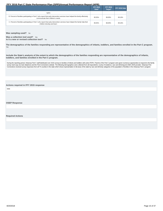<span id="page-14-0"></span>

|                                                                                                                                                                     | <b>FFY 2015</b><br>Data* | <b>FFY 2016</b><br>Target* | FFY 2016 Data |
|---------------------------------------------------------------------------------------------------------------------------------------------------------------------|--------------------------|----------------------------|---------------|
| rights                                                                                                                                                              |                          |                            |               |
| B. Percent of families participating in Part C who report that early intervention services have helped the family effectively<br>communicate their children's needs | 85.55%                   | 86.00%                     | 89.16%        |
| C. Percent of families participating in Part C who report that early intervention services have helped the family help their<br>children develop and learn          | 85.55%                   | 86.00%                     | 89.16%        |

## **Was sampling used?** No

Was a collection tool used? Yes

**Is it a new or revised collection tool?** No

**The demographics of the families responding are representative of the demographics of infants, toddlers, and families enrolled in the Part C program.** Yes

**Include the State's analysis of the extent to which the demographics of the families responding are representative of the demographics of infants, toddlers, and families enrolled in the Part C program.**

During the reporting period, Arkansas Part C staff distributed over 2416 surveys to families of infants and toddlers with active IFSPs. Parents of the Part C program were given numerous opportunties to respond to the famil survey, hard copy via mail, telephone and the First Connections website. The following demographics were collected from all respondents: county of residence, race and ethnicity,and child's AEIS provider. Arkansas First<br>Con

## **Actions required in FFY 2015 response**

none

## **OSEP Response**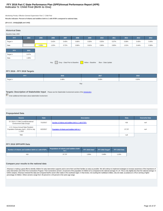## **Indicator 5: Child Find (Birth to One) FFY 2016 Part C State Performance Plan (SPP)/Annual Performance Report (APR)**

Monitoring Priority: Effective General Supervision Part C / Child Find

**Results indicator: Percent of infants and toddlers birth to 1 with IFSPs compared to national data.**

#### **(20 U.S.C. 1416(a)(3)(B) and 1442)**

| <b>Historical Data</b><br>Baseline Data: 2005                                   |       |       |       |       |       |       |       |       |       |       |       |
|---------------------------------------------------------------------------------|-------|-------|-------|-------|-------|-------|-------|-------|-------|-------|-------|
| <b>FFY</b>                                                                      | 2004  | 2005  | 2006  | 2007  | 2008  | 2009  | 2010  | 2011  | 2012  | 2013  | 2014  |
| Target $\geq$                                                                   |       |       | 0.42% | 0.45% | 0.66% | 0.55% | 0.55% | 0.57% | 0.58% | 0.45% | 0.45% |
| Data                                                                            |       | 0.39% | 1.02% | 0.72% | 0.66% | 0.61% | 0.96% | 0.85% | 1.01% | 0.44% | 0.36% |
| <b>FFY</b>                                                                      | 2015  |       |       |       |       |       |       |       |       |       |       |
| Target $\geq$                                                                   | 0.47% |       |       |       |       |       |       |       |       |       |       |
| Data                                                                            | 1.56% |       |       |       |       |       |       |       |       |       |       |
| Key: $Gray - Data Prior to Baseline$<br>Yellow - Baseline<br>Blue - Data Update |       |       |       |       |       |       |       |       |       |       |       |

## **FFY 2016 - FFY 2018 Targets**

| FFY           | 2016  | 2017  | 2018  |  |  |  |  |
|---------------|-------|-------|-------|--|--|--|--|
| Target $\geq$ | 0.48% | 0.49% | 0.50% |  |  |  |  |
| Key:          |       |       |       |  |  |  |  |

## **Targets: Description of Stakeholder Input** - Please see the Stakeholder Involvement section of the *introduction*.

**Enter additional information about stakeholder involvement** 

## **Prepopulated Data**

| Source                                                                                    | <b>Date</b> | <b>Description</b>                                   | <b>Data</b> | <b>Overwrite Data</b> |
|-------------------------------------------------------------------------------------------|-------------|------------------------------------------------------|-------------|-----------------------|
| SY 2016-17 Child Count/Educational<br><b>Environment Data Groups</b>                      | 7/12/2017   | Number of infants and toddlers birth to 1 with IFSPs | 416         | null                  |
| U.S. Census Annual State Resident<br>Population Estimates April 1, 2010 to July<br>1.2016 | 6/22/2017   | Population of infants and toddlers birth to 1        | 37.737      | null                  |
| <b>TBD</b>                                                                                |             |                                                      | null        |                       |

## **FFY 2016 SPP/APR Data**

| Number of infants and toddlers birth to 1 with IFSPs | $\blacksquare$ Population of infants and toddlers birth $\blacksquare$<br>to 1 |       | FFY 2015 Data* FFY 2016 Target* | FFY 2016 Data |
|------------------------------------------------------|--------------------------------------------------------------------------------|-------|---------------------------------|---------------|
| 416                                                  | 37.737                                                                         | 1.56% | 0.48%                           | 1.10%         |

#### **Compare your results to the national data**

Arkansas is making a great effort to identify children for early intervention supports and to serve them and their families as early as possible. We will continue to implement strategies to increase awareness of the import early intervention and of the First Connections Program. First Connections served 1.10 percent of the population of children (0-1) compared to the national average of 1.24. This is only slightly less than the national aver percentage of children. Others served a range from .65 percent to 1.05 percent in the same age range.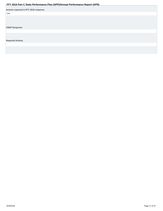<span id="page-16-0"></span>

|                                       | $\sim$ $\sim$ | . . |  |
|---------------------------------------|---------------|-----|--|
| Actions required in FFY 2015 response |               |     |  |
| none                                  |               |     |  |
|                                       |               |     |  |
|                                       |               |     |  |
|                                       |               |     |  |
|                                       |               |     |  |
| <b>OSEP Response</b>                  |               |     |  |
|                                       |               |     |  |
|                                       |               |     |  |
|                                       |               |     |  |
| <b>Required Actions</b>               |               |     |  |
|                                       |               |     |  |
|                                       |               |     |  |
|                                       |               |     |  |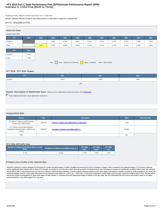## **Indicator 6: Child Find (Birth to Three) FFY 2016 Part C State Performance Plan (SPP)/Annual Performance Report (APR)**

Monitoring Priority: Effective General Supervision Part C / Child Find

**Results indicator: Percent of infants and toddlers birth to 3 with IFSPs compared to national data.**

#### **(20 U.S.C. 1416(a)(3)(B) and 1442)**

| <b>Historical Data</b> |       |       |       |       |       |                                                                         |       |       |       |       |       |
|------------------------|-------|-------|-------|-------|-------|-------------------------------------------------------------------------|-------|-------|-------|-------|-------|
| Baseline Data: 2005    |       |       |       |       |       |                                                                         |       |       |       |       |       |
| <b>FFY</b>             | 2004  | 2005  | 2006  | 2007  | 2008  | 2009                                                                    | 2010  | 2011  | 2012  | 2013  | 2014  |
| Target $\geq$          |       |       | 2.25% | 2.78% | 2.30% | 2.35%                                                                   | 2.37% | 2.37% | 2.37% | 1.20% | 1.30% |
| Data                   |       | 2.25% | 2.75% | 2.34% | 2.33% | 2.19%                                                                   | 2.75% | 2.73% | 2.72% | 1.19% | 1.00% |
| <b>FFY</b>             | 2015  |       |       |       |       |                                                                         |       |       |       |       |       |
| Target $\geq$          | 1.40% |       |       |       |       |                                                                         |       |       |       |       |       |
| Data                   | 1.74% |       |       |       |       |                                                                         |       |       |       |       |       |
|                        |       |       |       |       |       | Key: Gray - Data Prior to Baseline Yellow - Baseline Blue - Data Update |       |       |       |       |       |
|                        |       |       |       |       |       |                                                                         |       |       |       |       |       |

#### **FFY 2016 - FFY 2018 Targets**

| FFY      | 2016  | 2017  | 2018  |  |  |  |  |
|----------|-------|-------|-------|--|--|--|--|
| Target ≥ | 1.50% | 1.80% | 1.90% |  |  |  |  |
| Key:     |       |       |       |  |  |  |  |

## **Targets: Description of Stakeholder Input** - Please see the Stakeholder Involvement section of the *introduction*.

**Enter additional information about stakeholder involvement** 

## **Prepopulated Data**

| <b>Source</b>                                                                             | <b>Date</b> | <b>Description</b>                                   | <b>Data</b> | <b>Overwrite Data</b> |
|-------------------------------------------------------------------------------------------|-------------|------------------------------------------------------|-------------|-----------------------|
| SY 2016-17 Child Count/Educational<br><b>Environment Data Groups</b>                      | 7/12/2017   | Number of infants and toddlers birth to 3 with IFSPs | 1,722       |                       |
| U.S. Census Annual State Resident<br>Population Estimates April 1, 2010 to July<br>1.2016 | 6/22/2017   | Population of infants and toddlers birth to 3        | 113.811     |                       |
| <b>TBD</b>                                                                                |             |                                                      | nul         |                       |

#### **FFY 2016 SPP/APR Data**

| Number of infants and toddlers birth to 3 with | Population of infants and toddlers birth to 3 | <b>FFY 2015</b> | <b>FFY 2016</b> | <b>FFY 2016</b> |
|------------------------------------------------|-----------------------------------------------|-----------------|-----------------|-----------------|
| <b>IFSPs</b>                                   |                                               | Data*           | Target*         | Data            |
| .722                                           | 113.811                                       | .74%            | .50%            | 1.51%           |

#### **Compare your results to the national data**

Arkansas continues to explore strategies for increasing the number and percentages of children identified and served by the First Connections Program. When compared to the national average of 3.12 percent, Arkansas serves significantly fewer children birth to three (1.51 percent). As reported in our most recent SSIP, there are a number of activities that we have developed to increase our identification of children birth to three. We that we will be able to show improvement over time if we continue to implement these activities. In further analysis, Arkansas looked at seven other states in the region to compare ourselves to similar populations. We rema that we are closest in demographics to these three states. As with Indicator 5, Louisiana serves the highest percentage of children in this age range. We don't understand the phenomena, but wonder if states in our region would benefit from cross-state targeted TA in this area.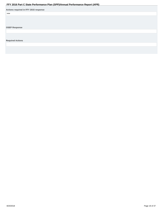<span id="page-18-0"></span>

|                                       | . . |  |
|---------------------------------------|-----|--|
| Actions required in FFY 2015 response |     |  |
| none                                  |     |  |
|                                       |     |  |
|                                       |     |  |
|                                       |     |  |
| <b>OSEP Response</b>                  |     |  |
|                                       |     |  |
|                                       |     |  |
|                                       |     |  |
| <b>Required Actions</b>               |     |  |
|                                       |     |  |
|                                       |     |  |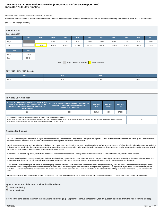## **Indicator 7: 45-day timeline FFY 2016 Part C State Performance Plan (SPP)/Annual Performance Report (APR)**

Monitoring Priority: Effective General Supervision Part C / Child Find

**Compliance indicator: Percent of eligible infants and toddlers with IFSPs for whom an initial evaluation and initial assessment and an initial IFSP meeting were conducted within Part C's 45-day timeline.**

#### **(20 U.S.C. 1416(a)(3)(B) and 1442)**

| <b>Historical Data</b><br>Baseline Data: 2005 |        |        |        |                                      |        |        |                   |        |        |        |        |
|-----------------------------------------------|--------|--------|--------|--------------------------------------|--------|--------|-------------------|--------|--------|--------|--------|
| <b>FFY</b>                                    | 2004   | 2005   | 2006   | 2007                                 | 2008   | 2009   | 2010              | 2011   | 2012   | 2013   | 2014   |
| Target                                        |        |        | 100%   | 100%                                 | 100%   | 100%   | 100%              | 100%   | 100%   | 100%   | 100%   |
| Data                                          |        | 75.80% | 84.00% | 88.00%                               | 82.00% | 99.00% | 94.00%            | 92.00% | 93.00% | 88.11% | 87.97% |
| <b>FFY</b>                                    | 2015   |        |        |                                      |        |        |                   |        |        |        |        |
| Target                                        | 100%   |        |        |                                      |        |        |                   |        |        |        |        |
| Data                                          | 92.41% |        |        |                                      |        |        |                   |        |        |        |        |
|                                               |        |        |        | Key: $Gray - Data Prior to Baseline$ |        |        | Yellow - Baseline |        |        |        |        |

## **FFY 2016 - FFY 2018 Targets**

| FFY    | 2016 | 2017 | 2018 |
|--------|------|------|------|
| Target | 100% | 100% | 100% |

## **FFY 2016 SPP/APR Data**

| Number of eligible infants and toddlers with IFSPs for<br>whom an initial evaluation and assessment and an<br>initial IFSP meeting was conducted within Part C's<br>45-day timeline | Number of eligible infants and toddlers evaluated and<br>assessed for whom an initial IFSP meeting was<br>required to be conducted                                           | <b>FFY 2015</b><br>Data* | <b>FFY 2016</b><br>Target* | <b>FFY 2016</b><br><b>Data</b> |
|-------------------------------------------------------------------------------------------------------------------------------------------------------------------------------------|------------------------------------------------------------------------------------------------------------------------------------------------------------------------------|--------------------------|----------------------------|--------------------------------|
| 126                                                                                                                                                                                 | 204                                                                                                                                                                          | 92.41%                   | 100%                       | 87.25%                         |
| Number of documented delays attributable to exceptional family circumstances<br>within Part C's 45-day timeline" field above to calculate the numerator for this indicator.         | This number will be added to the "Number of eligible infants and toddlers with IFSPs for whom an initial evaluation and assessment and an initial IFSP meeting was conducted |                          |                            |                                |

#### **Reasons for Slippage**

The Lead Agency developed a report for the 45-day timeline indicator from data collected from the Comprehensive Data System that organizes all of the child related data for each individual served by Part C early interventi providers in Arkansas. The state's 2016-2017 FFY data revealed a small slippage from the last fiscal year for Indicator 7.

There is a consistent process to verify data related to this indicator. The First Connections staff sends reports to AEIS providers and state staff and require resubmission of information. After submission, a thorough anal the inquiry reports is completed by the Data Manager as part of the data evaluation process. As specified in First Connections policy and procedures, the analysis determines the percentage of delays due to exceptional family circumstances. The analysis also identifies any additional areas needing improvement.

In accordance with the Part C regulations, for infants and toddlers who have been determined eligible, a meeting to develop the initial IFSP must be conducted within 45 days after the receipt of referral.

The data analysis for Indicator 7, revealed causal issues similar to those for Indicator 1, suggesting that local providers and state staff continue to have difficulty obtaining a prescription for timely evaluations that w for appropriate IFSP development. This is especially acute in the rural communities of Arkansas, where there continues to be a shortage of providers of early intervention supports and services.

Due to the limited number of therapists in these areas, the Lead Agency decided to established another enrollment period and announced the opportunity publicly. First Connections accepted applications and approved new providers after a review of required credentials, certification and experience. The CSPD unit developed a quick and intensive training on Part C expectations and requirements to prepare the new providers to support our population. As a result of this effort, First Connections was able to add a number of new providers in the areas where we had shortages. We anticipate that this will help us to improve timeliness of IFSP development in the future.

Arkansas will continue to develop strategies to increase the percentage of infants and toddlers with IFSP's for whom an evaluation and assessment and an initial IFSP meeting were conducted within 45 day timeline.

**What is the source of the data provided for this indicator?**

 **State monitoring**

 **State database**

**Provide the time period in which the data were collected (e.g., September through December, fourth quarter, selection from the full reporting period).**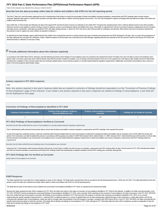Data for this indicator was collected from January 1-March 30,2017.

**Describe how the data accurately reflect data for infants and toddlers with IFSPs for the full reporting period.**

The Part C Data Unit, used information gathered from the Comprehensive Data System to report the percentage of infants and toddlers receiving evaluations, assessments and IFSP meetings within a timely manner. Arkansas' statewide data system is used by AEIS providers and state staff to report data on children receiving supports and services. The CDS was developed to capture and display data that reflects the status of the infant toddlers early intervention file.

Each child's file, in CDS includes the following: the date of the signed IFSP and the first date of service as indicated on the childs IFSP. Thoughout the reporting period, Part C staff are allowed access to the AEIS provi electronic record to work together to assist in finding a means to address concerns surrounding the infants and toddlers they serve. Information is collected from License Community Programs, Independent Service Providers, and state service coordanitors. Child data was pulled for IFSP, with dates starting January 1- March 30, 2017 and sent to each AEIS provider for verification and returned. With extreme care,First Connections selected this time period in order to capture the same children as reported in Indicator 1 .

As directed by the Data Manager, agency staff reviewed if the children who received their services in a timely manner also had an evalution and assessment and IFSP developed in 45 days. Also, to ensure the accurateness of the data; adequate time was given for verification of data. Additonal analysis of all information was conducted by the Data Manager regarding data that was reported for this time period to data for the full year (FFY2016) determined that it is reflective of a full year of data.

## **Provide additional information about this indicator (optional)**

In accordance with OSEP Memo 09-02, Arkansas used the following procedure where findings of noncompliance were not corrected in the required time period. Providers who were not able to correct noncompliance were placed under a corrective action plan which outlined specific steps that the provider needed to complete, such as training, technical assistance and one on one support from Lead Agency staff. Quality Assurance staff closel monitored the completion of the corrective action plan and reviewed updated data to ensure that the program is correctly implementing the regulatory requirements. Additionally, uncorrected noncompliance was a used as a factor in the local programs determination status.

#### **Actions required in FFY 2015 response**

none

Note: Any actions required in last year's response table that are related to correction of findings should be responded to on the "Correction of Previous Findings of Noncompliance" page of this indicator. If your State's only actions required in last year's response are related to findings of noncompliance, a text field will not be displayed on this page.

#### **Correction of Findings of Noncompliance Identified in FFY 2015**

| Findings of Noncompliance Identified | <b>Findings of Noncompliance Verified as</b><br><b>Corrected Within One Year</b> | <b>Findings of Noncompliance Subsequently</b><br>Corrected | <b>Findings Not Yet Verified as Corrected</b> |
|--------------------------------------|----------------------------------------------------------------------------------|------------------------------------------------------------|-----------------------------------------------|
|                                      |                                                                                  |                                                            |                                               |

#### **FFY 2015 Findings of Noncompliance Verified as Corrected**

Describe how the State verified that the source of noncompliance is correctly implementing the regulatory requirements

Part C administrative staff examined local provider data to ensure that all infants and toddlers received evaluations, assessments and IFSP meetings in the required time period.

As part of the agencies verification practice, Arkansas monitoring staff reviewed updated data from each local program to determine if subsequent infants and toddlers had an evaluation and an IFSP within the 45-day time period. First Connections unit staff completed this process in accordance with the guidance provided in OSEP Memorandum 09-02, dated October 17, 2008. Arkansas Part C determined that each AEIS provider, for whom data formerly showed noncompliance has corrected the noncompliance and is correctly implementing the regulatory requirement for infants and toddlers who receive evaluations, assessments and IFSP meetings within the required time.

Describe how the State verified that each individual case of noncompliance was corrected

Arkansas Part C Administrative staff reviewed individual child records of each infant or toddler who did not have an evaluation, assessment and IFSP meeting within 45 days. Record review for FFY 2015 indicated that childre who had not received evaluations ,assessments and timely IFSP meetings indeed had subsequently completed evaluation and the IFSP meeting was conducted, although late.

#### **FFY 2015 Findings Not Yet Verified as Corrected**

Actions taken if noncompliance not corrected

#### **OSEP Response**

The State reported that it used data from a State database to report on this indicator. The State further reported that it did not use data for the full reporting period (July 1, 2016-June 30, 2017). The State described ho period in which the data were collected accurately reflects data for infants and toddlers with IFSPs for the full reporting period.

The State did not report on the actions it took to address the uncorrected noncompliance identified in FFY 2015, as required by the measurement table.

Because the State reported less than 100% compliance for FFY 2016, the State must report on the status of correction of noncompliance identified in FFY 2016 for this indicator. In addition, the State must demonstrate, in t FFY 2017 SPP/APR, that the remaining two uncorrected findings of noncompliance identified in FY 2015 were corrected. When reporting on the correction of noncompliance, the State must report, in the FFY 2017 SPP/APR, that it has verified that each EIS program or provider with findings of noncompliance identified in FFY 2016 and each EIS program or provider with remaining noncompliance identified in FFY 2015: (1) is correctly implementing the specific regulatory requirements (i.e., achieved 100% compliance) based on a review of updated data such as data subsequently collected through on-site monitoring or a State data system; and (2) has corrected each individual case of noncompliance, unless the child is no longer within the jurisdiction of the EIS program or provider, consistent with OSEP Memo 09-02. In the FFY 2017 SPP/APR, the State must describe the specific actions that were taken to verify the correction. If the State did not identify any findings of noncompliance in FFY 2016, although its FFY 2016 data reflect less than 100% compliance, provide an explanation of wh State did not identify any findings of noncompliance in FFY 2016.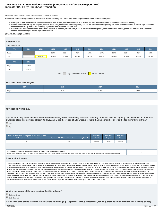## **Indicator 8A: Early Childhood Transition FFY 2016 Part C State Performance Plan (SPP)/Annual Performance Report (APR)**

#### Monitoring Priority: Effective General Supervision Part C / Effective Transition

**Compliance indicator: The percentage of toddlers with disabilities exiting Part C with timely transition planning for whom the Lead Agency has:**

- **A. Developed an IFSP with transition steps and services at least 90 days, and at the discretion of all parties, not more than nine months, prior to the toddler's third birthday;**
- **Notified (consistent with any opt-out policy adopted by the State) the State educational agency (SEA) and the local educational agency (LEA) where the toddler resides at least 90 days prior to the B. toddler's third birthday for toddlers potentially eligible for Part B preschool services; and**
- C. Conducted the transition conference held with the approval of the family at least 90 days, and at the discretion of all parties, not more than nine months, prior to the toddler's third birthday for **toddlers potentially eligible for Part B preschool services.**

**(20 U.S.C. 1416(a)(3)(B) and 1442)**

## **Historical Data**

#### Baseline Data: 2005

| <b>FFY</b>                                                 | 2004   | 2005   | 2006   | 2007   | 2008   | 2009   | 2010   | 2011   | 2012   | 2013   | 2014   |
|------------------------------------------------------------|--------|--------|--------|--------|--------|--------|--------|--------|--------|--------|--------|
| Target                                                     |        |        | 100%   | 100%   | 100%   | 100%   | 100%   | 100%   | 100%   | 100%   | 100%   |
| Data                                                       |        | 54.00% | 99.00% | 55.00% | 88.00% | 96.00% | 91.00% | 90.00% | 96.00% | 85.14% | 92.02% |
| <b>FFY</b>                                                 | 2015   |        |        |        |        |        |        |        |        |        |        |
| Target                                                     | 100%   |        |        |        |        |        |        |        |        |        |        |
| Data                                                       | 95.48% |        |        |        |        |        |        |        |        |        |        |
| Gray - Data Prior to Baseline<br>Yellow - Baseline<br>Key: |        |        |        |        |        |        |        |        |        |        |        |

#### **FFY 2016 - FFY 2018 Targets**

| <b>FFY</b> | 2016 | 2017 | 2018 |
|------------|------|------|------|
| Target     | 100% | 100% | 100% |
|            |      |      |      |

#### **FFY 2016 SPP/APR Data**

**Data include only those toddlers with disabilities exiting Part C with timely transition planning for whom the Lead Agency has developed an IFSP with transition steps and services at least 90 days, and at the discretion of all parties, not more than nine months, prior to the toddler's third birthday.**

## Yes  $\bigcap_{\mathsf{No}}$

| Number of children exiting Part C who have an IFSP | Number of toddlers with disabilities exiting Part C | <b>FFY 2015</b> | <b>FFY 2016</b> | <b>FFY 2016</b> |
|----------------------------------------------------|-----------------------------------------------------|-----------------|-----------------|-----------------|
| with transition steps and services                 |                                                     | Data*           | Target*         | <b>Data</b>     |
| 178                                                | 277                                                 | 95.48%          | 100%            | 90.97%          |

**Number of documented delays attributable to exceptional family circumstances** Number or documented delays attributable to exceptional family circumstances<br>This number will be added to the "Number of children exiting Part C who have an IFSP with transition steps and services" field to calculate the n

#### **Reasons for Slippage**

Data review indicates that some providers are still having difficulty understanding the requirements around transition. As part of the review process, agency staff completed an assessment of activities related to Early Childhood Transition. The assessment concluded that providers verbally report that they understand the process, however they are not adding the information to the child's individual plan. Arkansas Part C continues to work move the needle to achieve 100% compliance. With the assistance of partners throughout the state, the Lead Agency will continue to provide guidance and support to AEIS providers and state service coordinators. In order to provide clear concise support to providers and staff, the state's Professional Development team uses the transition guide "When I'm Three Where Will I Be" to ensure that information is related in the same manner regardless of staff. During the training classes on transition the instructor reviews federal requirements for transition , including steps, LEA notifications and timely transition conferences. First Connections staff reinforces this information through phone calls, and onsite visits. As part of the support process, agency staff analyzes the data to identify specific providers who have difficulty with transition and aid them in developing strategies to their actions related to this area. Part C Quality Assurance staff and Data Unit staff also provide technical assistance to state service coordinators regarding the transition process and it's requirements. During the TA v they help them problem solve difficulties in scheduling, inviting families and explaining the importance of planning for the next stages of the child's life. Lead Agency staff will continue to work to improve the percentag children that have step and services at least 90 days, and at the discretion of all parties, not more than nine months, prior to the toddler's third birthday.

**What is the source of the data provided for this indicator?**

State monitoring

State database

**Provide the time period in which the data were collected (e.g., September through December, fourth quarter, selection from the full reporting period).**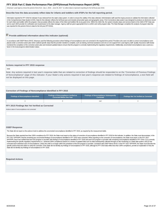<span id="page-23-0"></span>Arkansas' Lead Agency chose the period of time from July 1, 2016 – June 30, 2017 to collect data to represent reporting for the full fiscal year 2016.

#### **Describe how the data accurately reflect data for infants and toddlers with IFSPs for the full reporting period.**

Information reported for FFY 2016 for indicator 8 was retrieved from the state's data system. In order to ensure the validity of the data collected, Administrative staff used the inquiry process to validate the information in the Comprehensive Data System (CDS). Data for this indicator reflects the full fiscal year and includes all provider types and geographic areas. First Connections data system was designed to produce an electronic record for each infant and toddler within the program, that accurately reflects the status of the infant and toddlers file at any given time. Within the child's file, the system includes steps and services listed on the child's I sent to each AEIS provider for verification and resubmission to the data manager. Agency staff are given appropriate time to confirm and verify program data. The Data Manager completes the analysis of program data that was reported for this period of time to data for the full year (FFY2016).

## **Provide additional information about this indicator (optional)**

In accordance with OSEP Memo 09-02, Arkansas used the following procedure where findings of noncompliance were not corrected in the required time period. Providers who were not able to correct noncompliance were placed under a corrective action plan which outlined specific steps that the provider needed to complete, such as training, technical assistance and one on one support from Lead Agency staff. Quality Assurance staff closel monitored the completion of the corrective action plan and reviewed updated data to ensure that the program is correctly implementing the regulatory requirements. Additionally, uncorrected noncompliance was a used as a factor in the local programs determination status.

#### **Actions required in FFY 2015 response**

#### none

Note: Any actions required in last year's response table that are related to correction of findings should be responded to on the "Correction of Previous Findings of Noncompliance" page of this indicator. If your State's only actions required in last year's response are related to findings of noncompliance, a text field will not be displayed on this page.

#### **Correction of Findings of Noncompliance Identified in FFY 2015**

| Findings of Noncompliance Identified | <b>Findings of Noncompliance Verified as</b><br><b>Corrected Within One Year</b> | <b>Findings of Noncompliance Subsequently</b><br>Corrected | <b>Findings Not Yet Verified as Corrected</b> |
|--------------------------------------|----------------------------------------------------------------------------------|------------------------------------------------------------|-----------------------------------------------|
|                                      |                                                                                  |                                                            |                                               |

#### **FFY 2015 Findings Not Yet Verified as Corrected**

Actions taken if noncompliance not corrected

#### **OSEP Response**

The State did not report on the actions it took to address the uncorrected noncompliance identified in FFY 2015, as required by the measurement table.

Because the State reported less than 100% compliance for FFY 2016, the State must report on the status of correction of noncompliance identified in FFY 2016 for this indicator. In addition, the State must demonstrate, in t FFY 2017 SPP/APR, that the remaining two uncorrected findings of noncompliance identified in FFY 2015 were corrected. When reporting on the correction of noncompliance, the State must report, in the FFY 2017 SPP/APR, that it has verified that each EIS program or provider with findings of noncompliance identified in FFY 2016 and each EIS program or provider with remaining noncompliance identified in FFY 2015: (1) is correctly implementing the specific regulatory requirements (i.e., achieved 100% compliance) based on a review of updated data such as data subsequently collected through on-site monitoring or a State data system; and (2) has corrected each individual case of noncompliance, unless the child is no longer within the jurisdiction of the EIS program or provider, consistent with OSEP Memo 09-02. In the FFY 2017 SPP/APR, the State must describe the specific actions that were taken to verify the correction. If the State did not identify any findings of noncompliance in FFY 2016, although its FFY 2016 data reflect less than 100% compliance, provide an explanation of wh State did not identify any findings of noncompliance in FFY 2016.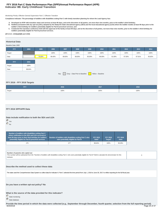## **Indicator 8B: Early Childhood Transition FFY 2016 Part C State Performance Plan (SPP)/Annual Performance Report (APR)**

#### Monitoring Priority: Effective General Supervision Part C / Effective Transition

**Compliance indicator: The percentage of toddlers with disabilities exiting Part C with timely transition planning for whom the Lead Agency has:**

- **A. Developed an IFSP with transition steps and services at least 90 days, and at the discretion of all parties, not more than nine months, prior to the toddler's third birthday;**
- **Notified (consistent with any opt-out policy adopted by the State) the State educational agency (SEA) and the local educational agency (LEA) where the toddler resides at least 90 days prior to the B. toddler's third birthday for toddlers potentially eligible for Part B preschool services; and**
- C. Conducted the transition conference held with the approval of the family at least 90 days, and at the discretion of all parties, not more than nine months, prior to the toddler's third birthday for **toddlers potentially eligible for Part B preschool services.**

**(20 U.S.C. 1416(a)(3)(B) and 1442)**

## **Historical Data**

## Baseline Data: 2005

| <b>FFY</b>                                                 | 2004   | 2005   | 2006   | 2007   | 2008   | 2009   | 2010   | 2011   | 2012   | 2013   | 2014   |
|------------------------------------------------------------|--------|--------|--------|--------|--------|--------|--------|--------|--------|--------|--------|
| Target                                                     |        |        | 100%   | 100%   | 100%   | 100%   | 100%   | 100%   | 100%   | 100%   | 100%   |
| Data                                                       |        | 79.00% | 96.40% | 89.00% | 88.00% | 95.00% | 96.00% | 91.00% | 97.00% | 87.61% | 95.82% |
| <b>FFY</b>                                                 | 2015   |        |        |        |        |        |        |        |        |        |        |
|                                                            |        |        |        |        |        |        |        |        |        |        |        |
| Target                                                     | 100%   |        |        |        |        |        |        |        |        |        |        |
| Data                                                       | 98.64% |        |        |        |        |        |        |        |        |        |        |
| Gray - Data Prior to Baseline<br>Yellow - Baseline<br>Key: |        |        |        |        |        |        |        |        |        |        |        |

## **FFY 2016 - FFY 2018 Targets**

| <b>FFY</b> | 2016 | 2017 | 2018 |
|------------|------|------|------|
| Target     | 100% | 100% | 100% |
|            |      |      |      |

## **FFY 2016 SPP/APR Data**

### **Data include notification to both the SEA and LEA**

 Yes No

| Number of toddlers with disabilities exiting Part C<br>where notification to the SEA and LEA occurred at<br>least 90 days prior to their third birthday for toddlers<br>potentially eligible for Part B preschool services | Number of toddlers with disabilities exiting Part C who<br>were potentially eligible for Part B | <b>FFY 2015</b><br>Data* | <b>FFY 2016</b><br>Target* | <b>FFY 2016</b><br><b>Data</b> |
|----------------------------------------------------------------------------------------------------------------------------------------------------------------------------------------------------------------------------|-------------------------------------------------------------------------------------------------|--------------------------|----------------------------|--------------------------------|
| 275                                                                                                                                                                                                                        | 277                                                                                             | 98.64%                   | 100%                       | 99.28%                         |

#### **Number of parents who opted out**

| This number will be subtracted from the "Number of toddlers with disabilities exiting Part C who were potentially eligible for Part B" field to calculate the denominator for this |  |
|------------------------------------------------------------------------------------------------------------------------------------------------------------------------------------|--|
| <i>indicator.</i>                                                                                                                                                                  |  |

| ٦<br>$\sim$ |  |  |
|-------------|--|--|

#### **Describe the method used to collect these data**

The state used the Comprehensive Data System to collect data for Indicator 8. Part C selected the time period from July 1, 2016 to June 30, 2017 to reflect reporting for the full fiscal year.

## **Do you have a written opt-out policy? No**

## **What is the source of the data provided for this indicator?**

State monitoring State database

**Provide the time period in which the data were collected (e.g., September through December, fourth quarter, selection from the full reporting period).** 8/20/2018 Page 25 of 37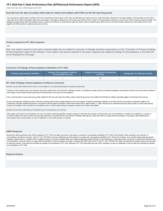<span id="page-25-0"></span>State Fiscal Year July 1, 2016 through June 30, 2017

#### **Describe how the data accurately reflect data for infants and toddlers with IFSPs for the full reporting period.**

The Lead Agency collects data for indicator 8 from the Comprehensive Data System( CDS). Data Unit staff utilizes the inquiry process to verify information collected form the states database. AEIS providers use the CDS to report data on the infants and toddlers within their local program. Information is gathered from all provider types within the Part C system. CDS generated an electronic record for each First Connections infant and toddler database includes actions within the transition process, as part of the childs file. As adminstrators within the system, Data Unit staff are given direct access to the AEIS providers electronic file, which allows them to w together with AEIS providers to address issues and concerns.

#### **Actions required in FFY 2015 response**

none

Note: Any actions required in last year's response table that are related to correction of findings should be responded to on the "Correction of Previous Findings of Noncompliance" page of this indicator. If your State's only actions required in last year's response are related to findings of noncompliance, a text field will not be displayed on this page.

#### **Correction of Findings of Noncompliance Identified in FFY 2015**

| <b>Findings of Noncompliance Verified as</b><br>Findings of Noncompliance Identified<br><b>Corrected Within One Year</b> |  | <b>Findings of Noncompliance Subsequently</b><br>Corrected | Findings Not Yet Verified as Corrected |  |
|--------------------------------------------------------------------------------------------------------------------------|--|------------------------------------------------------------|----------------------------------------|--|
|                                                                                                                          |  | null                                                       |                                        |  |

#### **FFY 2015 Findings of Noncompliance Verified as Corrected**

Describe how the State verified that the source of noncompliance is correctly implementing the regulatory requirements

Training for AEIS providers gives clear directions around the requirements of the SEA/LEA notification process. The guidance provides clarity around federal regulations that indicates that they must ensure that all childre their program receive timely transition planning and if cited that they must correct all noncompliance.

Part C examined data to ensure that each provider notified the SEA and LEA where the toddler resides at least 90 days prior to the toddlers third birthday for toddlers potentially eligible for Part B preschool services.

As part of the agencies verification practice, Arkansas monitoring staff reviewed updated data from each local program to determine that timely notification to the SEA and LEA was made for subsequent toddlers. First Connections unit staff completed this process in accordance with the guidance provided in OSEP Memorandum 09-02, dated October 17, 2008. Arkansas Part C determined that each AEIS provider, for whom data formerly showed noncompliance has corrected the noncompliance and is correctly implementing the regulatory requirement for infants and toddlers.

Describe how the State verified that each individual case of noncompliance was corrected

With regards to correction of noncompliance, the First Connections monitoring guidelines requires monitors to verify that each program corrected each case of noncompliance. Included in the verification, is a review of records for toddlers who did not receive timely transition planning to verify that the there was SEA/LEA notification although late, unless that child is no longer within the jurisdiction. Lead Agency staff certified that noncompliance was corrected within one year of notification, for each AEIS provider, as required.

#### **OSEP Response**

Because the State reported less than 100% compliance for FFY 2016, the State must report on the status of correction of noncompliance identified in FFY 2016 for this indicator. When reporting on the correction of noncompliance, the State must report, in the FFY 2017 SPP/APR, that it has verified that each EIS program or provider with noncompliance identified in FFY 2016 for this indicator: (1) is correctly implementing the specific regulatory requirements (i.e., achieved 100% compliance) based on a review of updated data such as data subsequently collected through on-site monitoring or a State data system; and (2) has corrected each individual case of noncompliance, unless the child is no longer within the jurisdiction of the EIS program or provider, consistent with OSEP Memo 09-02. In the FFY 2017 SPP/APR, the State must describe the specific actions that were taken to verify the correction. If the State did not identify any findings of noncompliance in FFY 2016, although its FFY 2016 data reflect less than 100% compliance, provide an explanation of why the State did not identify any of noncompliance in FFY 2016.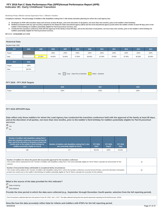## **Indicator 8C: Early Childhood Transition FFY 2016 Part C State Performance Plan (SPP)/Annual Performance Report (APR)**

#### Monitoring Priority: Effective General Supervision Part C / Effective Transition

**Compliance indicator: The percentage of toddlers with disabilities exiting Part C with timely transition planning for whom the Lead Agency has:**

- **A. Developed an IFSP with transition steps and services at least 90 days, and at the discretion of all parties, not more than nine months, prior to the toddler's third birthday;**
- **Notified (consistent with any opt-out policy adopted by the State) the State educational agency (SEA) and the local educational agency (LEA) where the toddler resides at least 90 days prior to the B. toddler's third birthday for toddlers potentially eligible for Part B preschool services; and**
- C. Conducted the transition conference held with the approval of the family at least 90 days, and at the discretion of all parties, not more than nine months, prior to the toddler's third birthday for **toddlers potentially eligible for Part B preschool services.**

**(20 U.S.C. 1416(a)(3)(B) and 1442)**

#### **Historical Data**

## Baseline Data: 2005

| <b>FFY</b>                                                 | 2004   | 2005   | 2006   | 2007   | 2008   | 2009   | 2010   | 2011   | 2012   | 2013   | 2014   |
|------------------------------------------------------------|--------|--------|--------|--------|--------|--------|--------|--------|--------|--------|--------|
| Target                                                     |        |        | 100%   | 100%   | 100%   | 100%   | 100%   | 100%   | 100%   | 100%   | 100%   |
| Data                                                       |        | 87.00% | 44.00% | 55.00% | 57.00% | 86.00% | 87.00% | 76.00% | 87.00% | 86.28% | 83.59% |
| <b>FFY</b>                                                 | 2015   |        |        |        |        |        |        |        |        |        |        |
| Target                                                     | 100%   |        |        |        |        |        |        |        |        |        |        |
| Data                                                       | 88.24% |        |        |        |        |        |        |        |        |        |        |
| Gray - Data Prior to Baseline<br>Yellow - Baseline<br>Key: |        |        |        |        |        |        |        |        |        |        |        |

## **FFY 2016 - FFY 2018 Targets**

| <b>FFY</b> | 2016 | 2017 | 2018 |
|------------|------|------|------|
| Target     | 100% | 100% | 100% |
|            |      |      |      |

#### **FFY 2016 SPP/APR Data**

**Data reflect only those toddlers for whom the Lead Agency has conducted the transition conference held with the approval of the family at least 90 days, and at the discretion of all parties, not more than nine months, prior to the toddler's third birthday for toddlers potentially eligible for Part B preschool services**

## Yes  $\bigcap_{\text{No}}$

| Number of toddlers with disabilities exiting Part C<br>where the transition conference occurred at least 90<br>days, and at the discretion of all parties at least nine<br>months prior to the toddler's third birthday for<br>toddlers potentially eligible for Part B | Number of toddlers with disabilities exiting Part C who<br>were potentially eligible for Part B | <b>FFY 2015</b><br>Data* | <b>FFY 2016</b><br>Target* | <b>FFY 2016</b><br><b>Data</b> |
|-------------------------------------------------------------------------------------------------------------------------------------------------------------------------------------------------------------------------------------------------------------------------|-------------------------------------------------------------------------------------------------|--------------------------|----------------------------|--------------------------------|
| 186                                                                                                                                                                                                                                                                     | 277                                                                                             | 88.24%                   | 100%                       | 93.63%                         |

| Number of toddlers for whom the parent did not provide approval for the transition conference<br>This number will be subtracted from the "Number of toddlers with disabilities exiting Part C who were potentially eligible for Part B" field to calculate the denominator for this<br>indicator.                                                                                                                                      | 10 |
|----------------------------------------------------------------------------------------------------------------------------------------------------------------------------------------------------------------------------------------------------------------------------------------------------------------------------------------------------------------------------------------------------------------------------------------|----|
| Number of documented delays attributable to exceptional family circumstances<br>This number will be added to the "Number of toddlers with disabilities exiting Part C where the transition conference occurred at least 90 days, and at the discretion of all parties<br>at least nine months prior to the toddler's third birthday for toddlers potentially eligible for Part B" field to calculate the numerator for this indicator. | 64 |

## **What is the source of the data provided for this indicator?**

State monitoring

**State database** 

**Provide the time period in which the data were collected (e.g., September through December, fourth quarter, selection from the full reporting period).**

First Connections collected data from the period of June 30, 2016- July 1, 2017. The data collected during this time period represents reporting for the full fiscal year. (2016)

**Describe how the data accurately reflect data for infants and toddlers with IFSPs for the full reporting period.**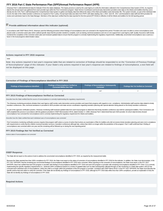<span id="page-27-0"></span>Arkansas Part C collected/retrieved data for Indicator 8 from the states database. The inquiry process is used by the Lead Agency to verify the information collected in the Comprehensive Data System (CDS). As required, data for the annual report was gathered from each provider type within the First Connections program. State Service Coordinators and local early intervention providers enter data on the infants and toddlers that they serve directly into the CDS. Part C staff developed the Comprehensive Data System to gather and display data that reflects the status of the infant and toddlers early intervention file. The system includes, as part of the indivi record, the date of the childs transition conference as required in Part C policy. Annual report data was taken from IFSP's with dates starting July 1, 2016- June 30, 2017, and forwarded to state staff and AEIS providers f review and submission back to the Data Manager. Members of the data team verified that the data reported for this time period (FFY2016) is reflective of all the infants and toddlers for the full reporting period.

## **Provide additional information about this indicator (optional)**

In accordance with OSEP Memo 09-02, Arkansas used the following procedure where findings of noncompliance were not corrected in the required time period. Providers who were not able to correct noncompliance were placed under a corrective action plan which outlined specific steps that the provider needed to complete, such as training, technical assistance and one on one support from Lead Agency staff. Quality Assurance staff closel monitored the completion of the corrective action plan and reviewed updated data to ensure that the program is correctly implementing the regulatory requirements. Additionally, uncorrected noncompliance was a used as a factor in the local programs determination status.

#### **Actions required in FFY 2015 response**

#### none

Note: Any actions required in last year's response table that are related to correction of findings should be responded to on the "Correction of Previous Findings of Noncompliance" page of this indicator. If your State's only actions required in last year's response are related to findings of noncompliance, a text field will not be displayed on this page.

#### **Correction of Findings of Noncompliance Identified in FFY 2015**

| <b>Findings of Noncompliance Verified as \</b><br>Findings of Noncompliance Identified<br><b>Corrected Within One Year</b> |  | <b>Findings of Noncompliance Subsequently</b><br>Corrected | <b>Findings Not Yet Verified as Corrected</b> |  |  |
|----------------------------------------------------------------------------------------------------------------------------|--|------------------------------------------------------------|-----------------------------------------------|--|--|
|                                                                                                                            |  | null                                                       |                                               |  |  |

#### **FFY 2015 Findings of Noncompliance Verified as Corrected**

Describe how the State verified that the source of noncompliance is correctly implementing the regulatory requirements

The Arkansas monitoring procedures dictates that Lead Agency staff monitor early intervention service providers and report their progress with regards to non- compliance. Administrative staff examine data related to timely transition conferences. Also, technical assistance is provided to AEIS providers and state service coordinators regarding transition planning with special attention being placed on the timely transition conference.

As part of the agencies verification practice, Arkansas monitoring staff reviewed updated data from each local program to determine that timely transition conference was held for subsequent toddlers. First Connections unit staff completed this process in accordance with the guidance provided in OSEP Memorandum 09-02, dated October 17, 2008. Arkansas Part C determined that each AEIS provider, for whom data formerly showed noncompliance has corrected the noncompliance and is correctly implementing the regulatory requirement for infants and toddlers.

Describe how the State verified that each individual case of noncompliance was corrected

First Connections monitoring verification process requires that program staff coduct a course of action that involves an examination of files for toddlers who did not receive timely transition planning and were not in comp with requirements to verify that the children received transition services (transition conference) although late, unless that child is no longer within the jurisdiction of the program. Part C staff confirmed that 2 finding noncompliance was corrected within one year and the remaining will be followed up on during the next reporting period.

#### **FFY 2015 Findings Not Yet Verified as Corrected**

Actions taken if noncompliance not corrected

#### **OSEP Response**

The State did not report on the actions it took to address the uncorrected noncompliance identified in FFY 2015, as required by the measurement table.

Because the State reported less than 100% compliance for FFY 2016, the State must report on the status of correction of noncompliance identified in FFY 2016 for this indicator. In addition, the State must demonstrate, in t FFY 2017 SPP/APR, that the remaining two uncorrected findings of noncompliance identified in FFY 2015 were corrected. When reporting on the correction of noncompliance, the State must report, in the FFY 2017 SPP/APR, that it has verified that each EIS program or provider with findings of noncompliance identified in FFY 2016 and each EIS program or provider with remaining noncompliance identified in FFY 2015: (1) is correctly implementing the specific regulatory requirements (i.e., achieved 100% compliance) based on a review of updated data such as data subsequently collected through on-site monitoring or a State data system; and (2) has corrected each individual case of noncompliance, unless the child is no longer within the jurisdiction of the EIS program or provider, consistent with OSEP Memo 09-02. In the FFY 2017 SPP/APR, the State must describe the specific actions that were taken to verify the correction. If the State did not identify any findings of noncompliance in FFY 2016, although its FFY 2016 data reflect less than 100% compliance, provide an explanation of wh State did not identify any findings of noncompliance in FFY 2016.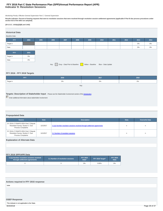## **Indicator 9: Resolution Sessions FFY 2016 Part C State Performance Plan (SPP)/Annual Performance Report (APR)**

Monitoring Priority: Effective General Supervision Part C / General Supervision

**Results indicator: Percent of hearing requests that went to resolution sessions that were resolved through resolution session settlement agreements (applicable if Part B due process procedures under section 615 of the IDEA are adopted).**

## **(20 U.S.C. 1416(a)(3)(B) and 1442)**

## **Historical Data**

| <b>Baseline Data:</b>                                                   |       |      |      |      |      |      |      |      |      |       |       |
|-------------------------------------------------------------------------|-------|------|------|------|------|------|------|------|------|-------|-------|
| <b>FFY</b>                                                              | 2004  | 2005 | 2006 | 2007 | 2008 | 2009 | 2010 | 2011 | 2012 | 2013  | 2014  |
| Target $\geq$                                                           |       |      |      |      |      |      |      |      |      | $0\%$ | $0\%$ |
| Data                                                                    |       |      |      |      |      |      |      |      |      | $0\%$ | $0\%$ |
| <b>FFY</b>                                                              | 2015  |      |      |      |      |      |      |      |      |       |       |
| Target $\geq$                                                           | $0\%$ |      |      |      |      |      |      |      |      |       |       |
| Data                                                                    | $0\%$ |      |      |      |      |      |      |      |      |       |       |
| Key: Gray - Data Prior to Baseline Yellow - Baseline Blue - Data Update |       |      |      |      |      |      |      |      |      |       |       |

## **FFY 2016 - FFY 2018 Targets**

| FFY           | 2016 | 2017  | 2018  |  |  |  |  |
|---------------|------|-------|-------|--|--|--|--|
| Target $\geq$ | 0%   | $0\%$ | $0\%$ |  |  |  |  |
| Key:          |      |       |       |  |  |  |  |

## **Targets: Description of Stakeholder Input** - Please see the Stakeholder Involvement section of the *introduction*.

Enter additional information about stakeholder involvement

#### **Prepopulated Data**

| <b>Source</b>                                                                                          | <b>Date</b> | <b>Description</b>                                                       |   | <b>Overwrite Data</b> |
|--------------------------------------------------------------------------------------------------------|-------------|--------------------------------------------------------------------------|---|-----------------------|
| SY 2016-17 EMAPS IDEA Part C Dispute<br>Resolution Survey; Section C: Due<br><b>Process Complaints</b> | 11/1/2017   | 3.1(a) Number resolution sessions resolved through settlement agreements | n | n                     |
| SY 2016-17 EMAPS IDEA Part C Dispute<br>Resolution Survey; Section C: Due<br><b>Process Complaints</b> | 11/1/2017   | 3.1 Number of resolution sessions                                        | n | n                     |

#### **Explanation of Alternate Data**

#### **FFY 2016 SPP/APR Data**

| 3.1(a) Number resolution sessions resolved<br>through settlement agreements | 3.1 Number of resolution sessions | <b>FFY 2015</b><br>Data* | FFY 2016 Target* | <b>FFY 2016</b><br>Data |
|-----------------------------------------------------------------------------|-----------------------------------|--------------------------|------------------|-------------------------|
|                                                                             |                                   | 0%                       | $0.00\%$         | $0\%$                   |

## **Actions required in FFY 2015 response**

none

#### **OSEP Response**

| This indicator is not applicable to the State. |               |
|------------------------------------------------|---------------|
| 8/20/2018                                      | Page 29 of 37 |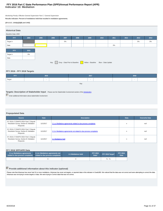## **Indicator 10: Mediation FFY 2016 Part C State Performance Plan (SPP)/Annual Performance Report (APR)**

Monitoring Priority: Effective General Supervision Part C / General Supervision

**Results indicator: Percent of mediations held that resulted in mediation agreements.**

#### **(20 U.S.C. 1416(a)(3)(B) and 1442)**

| <b>Historical Data</b> |       |      |      |       |      |                                                 |                    |       |      |       |      |
|------------------------|-------|------|------|-------|------|-------------------------------------------------|--------------------|-------|------|-------|------|
| Baseline Data: 2005    |       |      |      |       |      |                                                 |                    |       |      |       |      |
| <b>FFY</b>             | 2004  | 2005 | 2006 | 2007  | 2008 | 2009                                            | 2010               | 2011  | 2012 | 2013  | 2014 |
| Target $\geq$          |       |      |      | $0\%$ |      |                                                 |                    |       |      | $0\%$ | 0%   |
| Data                   |       |      |      |       |      |                                                 |                    | $0\%$ |      |       |      |
| <b>FFY</b>             | 2015  |      |      |       |      |                                                 |                    |       |      |       |      |
| Target $\geq$          | $0\%$ |      |      |       |      |                                                 |                    |       |      |       |      |
| Data                   |       |      |      |       |      |                                                 |                    |       |      |       |      |
|                        |       |      | Key: |       |      | Gray - Data Prior to Baseline Yellow - Baseline | Blue - Data Update |       |      |       |      |

## **FFY 2016 - FFY 2018 Targets**

| FFY    |  | 2016 |  | 2017 |  |  | 2018 |  |
|--------|--|------|--|------|--|--|------|--|
| Target |  | . .  |  |      |  |  | . .  |  |
| Key:   |  |      |  |      |  |  |      |  |

## **Targets: Description of Stakeholder Input** - Please see the Stakeholder Involvement section of the *introduction*.

**Enter additional information about stakeholder involvement** 

## **Prepopulated Data**

| <b>Source</b>                                                                               | <b>Date</b> | <b>Description</b>                                                  | <b>Data</b> | <b>Overwrite Data</b> |
|---------------------------------------------------------------------------------------------|-------------|---------------------------------------------------------------------|-------------|-----------------------|
| SY 2016-17 EMAPS IDEA Part C Dispute<br>Resolution Survey; Section B: Mediation<br>Requests | 11/1/2017   | 2.1.a. iMediations agreements related to due process complaints     | n           | null                  |
| SY 2016-17 EMAPS IDEA Part C Dispute<br>Resolution Survey; Section B: Mediation<br>Requests | 11/1/2017   | 2.1.b. iMediations agreements not related to due process complaints | n           | null                  |
| SY 2016-17 EMAPS IDEA Part C Dispute<br>Resolution Survey; Section B: Mediation<br>Requests | 11/1/2017   | 2.1 Mediations held                                                 | n           | null                  |

## **FFY 2016 SPP/APR Data**

| 2.1.a.i Mediations agreements<br>2.1.b.i Mediations agreements not<br>related to due process complaints<br>related to due process complaints |  | 2.1 Mediations held | <b>FFY 2015</b><br>Data* | FFY 2016 Target* | <b>FFY 2016</b><br>Data |
|----------------------------------------------------------------------------------------------------------------------------------------------|--|---------------------|--------------------------|------------------|-------------------------|
|                                                                                                                                              |  |                     |                          | $\%$ - $\%$      |                         |

## **Provide additional information about this indicator (optional)**

Please note that Arkansas has never had 10 or more mediations. Arkansas has never set targets, or reported data in this indicator in Grads360. We noticed that the data was not correct and were attempting to correct the dat Arkansas was not trying to revise targets or data. We were trying to Correct data that was not correct.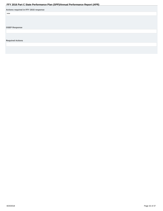<span id="page-31-0"></span>

|                                       | . . |  |
|---------------------------------------|-----|--|
| Actions required in FFY 2015 response |     |  |
| none                                  |     |  |
|                                       |     |  |
|                                       |     |  |
|                                       |     |  |
| <b>OSEP Response</b>                  |     |  |
|                                       |     |  |
|                                       |     |  |
|                                       |     |  |
| <b>Required Actions</b>               |     |  |
|                                       |     |  |
|                                       |     |  |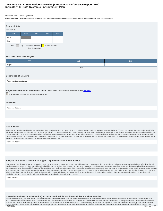## **Indicator 11: State Systemic Improvement Plan FFY 2016 Part C State Performance Plan (SPP)/Annual Performance Report (APR)**

#### Monitoring Priority: General Supervision

**Results indicator: The State's SPP/APR includes a State Systemic Improvement Plan (SSIP) that meets the requirements set forth for this indicator.**



#### **FFY 2017 - FFY 2018 Targets**

| <b>FFY</b>                                                                                                                                                                    | 2017 | 2018 |  |  |  |  |  |  |  |
|-------------------------------------------------------------------------------------------------------------------------------------------------------------------------------|------|------|--|--|--|--|--|--|--|
| Target                                                                                                                                                                        |      |      |  |  |  |  |  |  |  |
| Key:                                                                                                                                                                          |      |      |  |  |  |  |  |  |  |
|                                                                                                                                                                               |      |      |  |  |  |  |  |  |  |
| <b>Description of Measure</b>                                                                                                                                                 |      |      |  |  |  |  |  |  |  |
| Please see attachement below.                                                                                                                                                 |      |      |  |  |  |  |  |  |  |
|                                                                                                                                                                               |      |      |  |  |  |  |  |  |  |
| Targets: Description of Stakeholder Input - Please see the Stakeholder Involvement section of the introduction.<br>Enter additional information about stakeholder involvement |      |      |  |  |  |  |  |  |  |
| Overview                                                                                                                                                                      |      |      |  |  |  |  |  |  |  |
| Please see attached.                                                                                                                                                          |      |      |  |  |  |  |  |  |  |
|                                                                                                                                                                               |      |      |  |  |  |  |  |  |  |
|                                                                                                                                                                               |      |      |  |  |  |  |  |  |  |

#### **Data Analysis**

A description of how the State identified and analyzed key data, including data from SPP/APR indicators, 618 data collections, and other available data as applicable, to: (1) select the State-identified Measurable Result(s Infants and Toddlers with Disabilities and their Families, and (2) identify root causes contributing to low performance. The description must include information about how the data were disaggregated by multiple variables EIS program and/or EIS provider, geographic region, race/ethnicity, socioeconomic status, gender, etc.) As part of its data analysis, the State should also consider compliance data and whether those data present potential barriers to improvement. In addition, if the State identifies any concerns about the quality of the data, the description must include how the State will address these concerns. Finally, if additional data are needed, the should include the methods and timelines to collect and analyze the additional data.

Please see attached.

#### **Analysis of State Infrastructure to Support Improvement and Build Capacity**

A description of how the State analyzed the capacity of its current infrastructure to support improvement and build capacity in EIS programs and/or EIS providers to implement, scale up, and sustain the use of evidence-based practices to improve results for infants and toddlers with disabilities and their families. State systems that make up its infrastructure include, at a minimum: governance, fiscal, quality standards, professional developme The State must also identify current State-level improvement plans and other early learning initiatives, such as Race to the Top-Early Learning Challenge and the Home Visiting program and describe the extent that these new initiatives are aligned, and how they are, or could be, integrated with, the SSIP. Finally, the State should identify representatives (e.g., offices, agencies, positions, individuals, and other stakeholders) that were invo developing Phase I of the SSIP and that will be involved in developing and implementing Phase II of the SSIP.

Please see below.

### **State-identified Measurable Result(s) for Infants and Toddlers with Disabilities and Their Families**

A statement of the result(s) the State intends to achieve through the implementation of the SSIP. The State-identified Measurable Result(s) for Infants and Toddlers with Disabilities and their Families must be aligned to an SPP/APR indicator or a component of an SPP/APR indicator. The State-identified Measurable Result(s) for Infants and Toddlers with Disabilities and their Families must be clearly based on the Data and State Infrastructure Analyses and must be a child- or family-level outcome in contrast to a process outcome. The State may select a single result (e.g., increase the rate of growth in infants and toddlers demonstrating positive social-emotiona skills) or a cluster of related results (e.g., increase the percentage reported under child outcome B under Indicator 3 of the SPP/APR (knowledge and skills) and increase the percentage trend reported for families under<br>Pa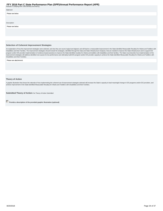| Indicator 4 (helping their child develop and learn)). | $\sim$ $\sim$ | . |  |
|-------------------------------------------------------|---------------|---|--|
| Statement                                             |               |   |  |
| Please see below.                                     |               |   |  |
|                                                       |               |   |  |
|                                                       |               |   |  |
| Description                                           |               |   |  |
| Please see below.                                     |               |   |  |
|                                                       |               |   |  |
|                                                       |               |   |  |
|                                                       |               |   |  |

#### **Selection of Coherent Improvement Strategies**

An explanation of how the improvement strategies were selected, and why they are sound, logical and aligned, and will lead to a measurable improvement in the State-identified Measurable Result(s) for Infants and Toddlers w program and/or EIS provider implementation of evidence-based practices to improve the State-identified result(s) for infants and toddlers with disabilities and their families. The State must describe how implementation of improvement strategies will address identified root causes for low performance and ultimately build EIS program and/or EIS provider capacity to achieve the State-identified Measurable Result(s) for Infants and Toddlers with Disabilities and their Families.

Please see attachement.

#### **Theory of Action**

A graphic illustration that shows the rationale of how implementing the coherent set of improvement strategies selected will increase the State's capacity to lead meaningful change in EIS programs and/or EIS providers, and

**Submitted Theory of Action: No Theory of Action Submitted** 

**Provide a description of the provided graphic illustration (optional)**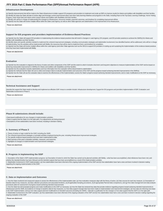#### **Infrastructure Development**

(a) Specify improvements that will be made to the State infrastructure to better support EIS programs and providers to implement and scale up EBPs to improve results for infants and toddlers with disabilities and their fam (b) Identify the steps the State will take to further align and leverage current improvement plans and other early learning initiatives and programs in the State, including Race to the Top-Early Learning Challenge, Home Vi Program, Early Head Start and others which impact infants and toddlers with disabilities and their families.

(c) Identify who will be in charge of implementing the changes to infrastructure, resources needed, expected outcomes, and timelines for completing improvement efforts.

(d) Specify how the State will involve multiple offices within the State Lead Agency, as well as other State agencies and stakeholders in the improvement of its infrastructure.

Please see attachment

#### **Support for EIS programs and providers Implementation of Evidence-Based Practices**

(a) Specify how the State will support EIS providers in implementing the evidence-based practices that will result in changes in Lead Agency, EIS program, and EIS provider practices to achieve the SIMR(s) for infants and toddlers with disabilities and their families.

(b) Identify steps and specific activities needed to implement the coherent improvement strategies, including communication strategies and stakeholder involvement; how identified barriers will be addressed; who will be in of implementing; how the activities will be implemented with fidelity; the resources that will be used to implement them; and timelines for completion.

(c) Specify how the State will involve multiple offices within the Lead Agency (and other State agencies such as the SEA) to support EIS providers in scaling up and sustaining the implementation of the evidence-based pract once they have been implemented with fidelity.

Please see attachement

#### **Evaluation**

(a) Specify how the evaluation is aligned to the theory of action and other components of the SSIP and the extent to which it includes short-term and long-term objectives to measure implementation of the SSIP and its impac achieving measurable improvement in SIMR(s) for infants and toddlers with disabilities and their families.

(b) Specify how the evaluation includes stakeholders and how information from the evaluation will be disseminated to stakeholders

(c) Specify the methods that the State will use to collect and analyze data to evaluate implementation and outcomes of the SSIP and the progress toward achieving intended improvements in the SIMR(s).

(d) Specify how the State will use the evaluation data to examine the effectiveness of the implementation; assess the State's progress toward achieving intended improvements; and to make modifications to the SSIP as necess Please see attachment

**Technical Assistance and Support**

Describe the support the State needs to develop and implement an effective SSIP. Areas to consider include: Infrastructure development; Support for EIS programs and providers implementation of EBP; Evaluation; and Stakeholder involvement in Phase II.

Please see attachement

#### **Phase III submissions should include:**

• Data-based justifications for any changes in implementation activities.

- Data to support that the State is on the right path, if no adjustments are being proposed.
- Descriptions of how stakeholders have been involved, including in decision-making.

#### **A. Summary of Phase 3**

- 1. Theory of action or logic model for the SSIP, including the SiMR.
- 2. The coherent improvement strategies or principle activities employed during the year, including infrastructure improvement strategies.
- 3. The specific evidence-based practices that have been implemented to date.
- 4. Brief overview of the year's evaluation activities, measures, and outcomes. 5. Highlights of changes to implementation and improvement strategies.

Please see attachment.

#### **B. Progress in Implementing the SSIP**

1. Description of the State's SSIP implementation progress: (a) Description of extent to which the State has carried out its planned activities with fidelity—what has been accomplished, what milestones have been met, and whether the intended timeline has been followed and (b) Intended outputs that have been accomplished as a result of the implementation activities. 2. Stakeholder involvement in SSIP implementation: (a) How stakeholders have been informed of the ongoing implementation of the SSIP and (b) How stakeholders have had a voice and been involved in decision-making regarding the ongoing implementation of the SSIP.

Please see attachment.

#### **C. Data on Implementation and Outcomes**

1. How the State monitored and measured outputs to assess the effectiveness of the implementation plan: (a) How evaluation measures align with the theory of action, (b) Data sources for each key measure, (c) Description of baseline data for key measures, (d) Data collection procedures and associated timelines, (e) [If applicable] Sampling procedures, (f) [If appropriate] Planned data comparisons, and (g) How data management and data analysis procedures allow for assessment of progress toward achieving intended improvements

2. How the State has demonstrated progress and made modifications to the SSIP as necessary: (a) How the State has reviewed key data that provide evidence regarding progress toward achieving intended improvements to infrastructure and the SiMR, (b) Evidence of change to baseline data for key measures, (c) How data support changes that have been made to implementation and improvement strategies, (d) How data are informing next steps<br>in 3. Stakeholder involvement in the SSIP evaluation: (a) How stakeholders have been informed of the ongoing evaluation of the SSIP and (b) How stakeholders have had a voice and been involved in decision-making regarding the ongoing evaluation of the SSIP

Please see attachment.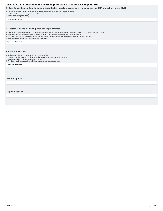<span id="page-35-0"></span>**D. Data Quality Issues: Data limitations that affected reports of progress in implementing the SSIP and achieving the SIMR**

1. Concern or limitations related to the quality or quantity of the data used to report progress or results

2. Implications for assessing progress or results 3. Plans for improving data quality

Please see attachment.

#### **E. Progress Toward Achieving Intended Improvements**

1. Infrastructure changes that support SSIP initiatives, including how system changes support achievement of the SiMR, sustainability, and scale-up

- 2. Evidence that SSIP's evidence-based practices are being carried out with fidelity and having the desired effects
- 3. Outcomes regarding progress toward short-term and long-term objectives that are necessary steps toward achieving the SIMR
- 4. Measurable improvements in the SIMR in relation to targets

Please see attachment.

#### **F. Plans for Next Year**

- 1. Additional activities to be implemented next year, with timeline 2. Planned evaluation activities including data collection, measures, and expected outcomes
- 3. Anticipated barriers and steps to address those barriers
- 4. The State describes any needs for additional support and/or technical assistance

Please see attachment.

#### **OSEP Response**